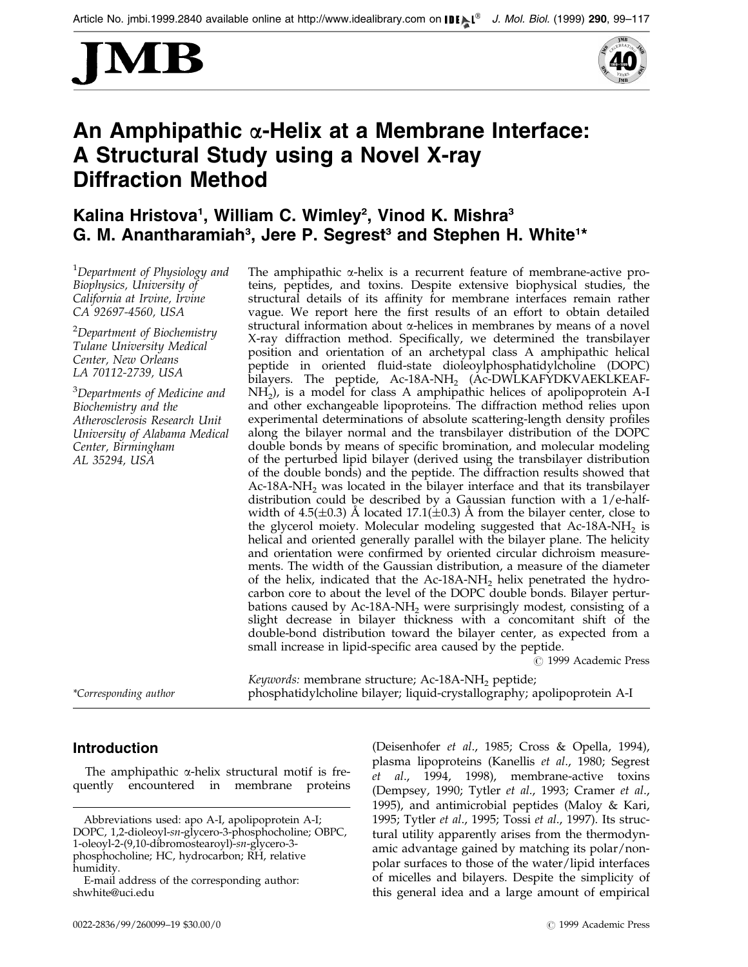



# An Amphipathic  $\alpha$ -Helix at a Membrane Interface: A Structural Study using a Novel X-ray Diffraction Method

## Kalina Hristova<sup>1</sup>, William C. Wimley<sup>2</sup>, Vinod K. Mishra<sup>3</sup> G. M. Anantharamiah<sup>3</sup>, Jere P. Segrest<sup>3</sup> and Stephen H. White<sup>1\*</sup>

<sup>1</sup>Department of Physiology and Biophysics, University of California at Irvine, Irvine CA 92697-4560, USA

<sup>2</sup>Department of Biochemistry Tulane University Medical Center, New Orleans LA 70112-2739, USA

<sup>3</sup>Departments of Medicine and Biochemistry and the Atherosclerosis Research Unit University of Alabama Medical Center, Birmingham AL 35294, USA

The amphipathic  $\alpha$ -helix is a recurrent feature of membrane-active proteins, peptides, and toxins. Despite extensive biophysical studies, the structural details of its affinity for membrane interfaces remain rather vague. We report here the first results of an effort to obtain detailed structural information about  $\alpha$ -helices in membranes by means of a novel X-ray diffraction method. Specifically, we determined the transbilayer position and orientation of an archetypal class A amphipathic helical peptide in oriented fluid-state dioleoylphosphatidylcholine (DOPC) bilayers. The peptide, Ac-18A-NH<sub>2</sub> (Ac-DWLKAFYDKVAEKLKEAF- $NH<sub>2</sub>$ ), is a model for class A amphipathic helices of apolipoprotein A-I and other exchangeable lipoproteins. The diffraction method relies upon experimental determinations of absolute scattering-length density profiles along the bilayer normal and the transbilayer distribution of the DOPC double bonds by means of specific bromination, and molecular modeling of the perturbed lipid bilayer (derived using the transbilayer distribution of the double bonds) and the peptide. The diffraction results showed that  $Ac-18A-NH<sub>2</sub>$  was located in the bilayer interface and that its transbilayer distribution could be described by a Gaussian function with a 1/e-halfwidth of 4.5( $\pm$ 0.3) Å located 17.1( $\pm$ 0.3) Å from the bilayer center, close to the glycerol moiety. Molecular modeling suggested that Ac-18A-NH<sub>2</sub> is helical and oriented generally parallel with the bilayer plane. The helicity and orientation were confirmed by oriented circular dichroism measurements. The width of the Gaussian distribution, a measure of the diameter of the helix, indicated that the Ac-18A-NH<sub>2</sub> helix penetrated the hydrocarbon core to about the level of the DOPC double bonds. Bilayer perturbations caused by  $Ac-18A-NH_2$  were surprisingly modest, consisting of a slight decrease in bilayer thickness with a concomitant shift of the double-bond distribution toward the bilayer center, as expected from a small increase in lipid-specific area caused by the peptide.

 $\odot$  1999 Academic Press

Keywords: membrane structure; Ac-18A-NH<sub>2</sub> peptide; \*Corresponding author phosphatidylcholine bilayer; liquid-crystallography; apolipoprotein A-I

## Introduction

The amphipathic  $\alpha$ -helix structural motif is frequently encountered in membrane proteins

[\(Deisenho](#page-17-0)fer et al., 1985; [Cross &](#page-17-0) Opella, 1994), plasma lipoproteins [\(Kanellis](#page-17-0) et al., 1980; [Segrest](#page-17-0) et al., 199[4, 1998\)](#page-18-0), membrane-active toxins [\(Dempsey](#page-17-0), 1990; [Tytler](#page-18-0) et al., 1993; [Cramer](#page-17-0) et al., 1995), and antimicrobial peptides [\(Maloy &](#page-17-0) Kari, 1995; [Tytler](#page-18-0) et al., 1995; [Tossi](#page-18-0) et al., 1997). Its structural utility apparently arises from the thermodynamic advantage gained by matching its polar/nonpolar surfaces to those of the water/lipid interfaces of micelles and bilayers. Despite the simplicity of this general idea and a large amount of empirical

Abbreviations used: apo A-I, apolipoprotein A-I; DOPC, 1,2-dioleoyl-sn-glycero-3-phosphocholine; OBPC, 1-oleoyl-2-(9,10-dibromostearoyl)-sn-glycero-3 phosphocholine; HC, hydrocarbon; RH, relative humidity.

E-mail address of the corresponding author: shwhite@uci.edu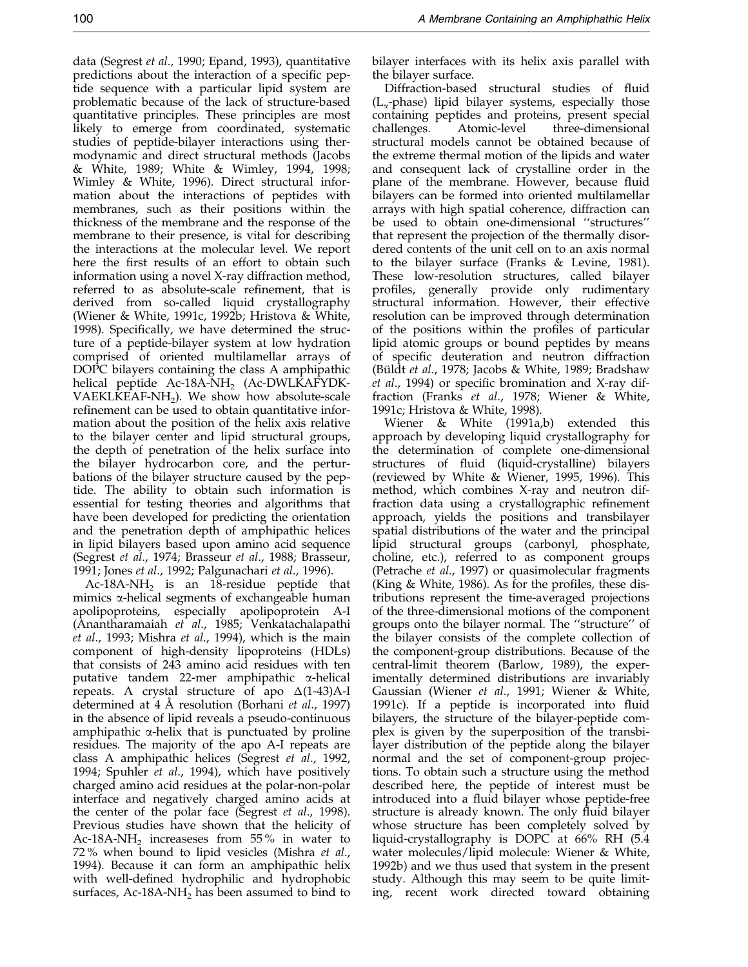data [\(Segrest](#page-17-0) et al., 1990; [Epand, 1](#page-17-0)993), quantitative predictions about the interaction of a specific peptide sequence with a particular lipid system are problematic because of the lack of structure-based quantitative principles. These principles are most likely to emerge from coordinated, systematic studies of peptide-bilayer interactions using thermodynamic and direct structural methods [\(Jacobs](#page-17-0) & White, 1989; [White &](#page-18-0) Wimley, 199[4, 1998;](#page-18-0) [Wimley](#page-18-0) & White, 1996). Direct structural information about the interactions of peptides with membranes, such as their positions within the thickness of the membrane and the response of the membrane to their presence, is vital for describing the interactions at the molecular level. We report here the first results of an effort to obtain such information using a novel X-ray diffraction method, referred to as absolute-scale refinement, that is derived from so-called liquid crystallography [\(Wiener &](#page-18-0) White, 1991[c, 1992b;](#page-18-0) [Hristova](#page-17-0) & White, 1998). Specifically, we have determined the structure of a peptide-bilayer system at low hydration comprised of oriented multilamellar arrays of DOPC bilayers containing the class A amphipathic helical peptide Ac-18A-NH<sub>2</sub> (Ac-DWLKAFYDK-VAEKL $\widehat{KE}$ AF-NH<sub>2</sub>). We show how absolute-scale refinement can be used to obtain quantitative information about the position of the helix axis relative to the bilayer center and lipid structural groups, the depth of penetration of the helix surface into the bilayer hydrocarbon core, and the perturbations of the bilayer structure caused by the peptide. The ability to obtain such information is essential for testing theories and algorithms that have been developed for predicting the orientation and the penetration depth of amphipathic helices in lipid bilayers based upon amino acid sequence [\(Segrest](#page-17-0) et al., 1974; [Brasseur](#page-17-0) et al., 1988; [Brasseur](#page-17-0), 1991[; Jones](#page-17-0) et al., 1992; [Palgunac](#page-17-0)hari et al., 1996).

Ac-18A-NH<sub>2</sub> is an 18-residue peptide that mimics  $\alpha$ -helical segments of exchangeable human apolipoproteins, especially apolipoprotein A-I [\(Anantha](#page-16-0)ramaiah et al., 1985; [Venkatac](#page-18-0)halapathi et al., 1993; [Mishra](#page-17-0) et al., 1994), which is the main component of high-density lipoproteins (HDLs) that consists of 243 amino acid residues with ten putative tandem 22-mer amphipathic a-helical repeats. A crystal structure of apo  $\Delta(1-43)$ A-I determined at  $4 \text{ Å}$  resolution [\(Borhani](#page-16-0) *et al.*, 1997) in the absence of lipid reveals a pseudo-continuous amphipathic  $\alpha$ -helix that is punctuated by proline residues. The majority of the apo A-I repeats are class A amphipathic helices [\(Segrest](#page-17-0) et al., 1992, 1994; [Spuhler](#page-18-0) et al., 1994), which have positively charged amino acid residues at the polar-non-polar interface and negatively charged amino acids at the center of the polar face [\(Segrest](#page-18-0) et al., 1998). Previous studies have shown that the helicity of Ac-18A-NH<sub>2</sub> increaseses from 55% in water to 72 % when bound to lipid vesicles [\(Mishra](#page-17-0) et al., 1994). Because it can form an amphipathic helix with well-defined hydrophilic and hydrophobic surfaces, Ac-18A-NH<sub>2</sub> has been assumed to bind to bilayer interfaces with its helix axis parallel with the bilayer surface.

Diffraction-based structural studies of fluid  $(L_{\gamma}$ -phase) lipid bilayer systems, especially those containing peptides and proteins, present special challenges. Atomic-level three-dimensional structural models cannot be obtained because of the extreme thermal motion of the lipids and water and consequent lack of crystalline order in the plane of the membrane. However, because fluid bilayers can be formed into oriented multilamellar arrays with high spatial coherence, diffraction can be used to obtain one-dimensional "structures" that represent the projection of the thermally disordered contents of the unit cell on to an axis normal to the bilayer surface [\(Franks &](#page-17-0) Levine, 1981). These low-resolution structures, called bilayer profiles, generally provide only rudimentary structural information. However, their effective resolution can be improved through determination of the positions within the profiles of particular lipid atomic groups or bound peptides by means of specific deuteration and neutron diffraction (Büldt et al., 1978; [Jacobs &](#page-17-0) White, 1989; [Bradshaw](#page-17-0)  $et$  al., 1994) or specific bromination and X-ray diffraction [\(Franks](#page-17-0) et al., 1978; [Wiener](#page-18-0) & White, 1991c; [Hristova](#page-17-0) & White, 1998).

[Wiener](#page-18-0) & White (1991[a,b\) exte](#page-18-0)nded this approach by developing liquid crystallography for the determination of complete one-dimensional structures of fluid (liquid-crystalline) bilayers (reviewed by [White &](#page-18-0) Wiener, 199[5, 1996\).](#page-18-0) This method, which combines X-ray and neutron diffraction data using a crystallographic refinement approach, yields the positions and transbilayer spatial distributions of the water and the principal lipid structural groups (carbonyl, phosphate, choline, etc.), referred to as component groups [\(Petrache](#page-17-0) et al., 1997) or quasimolecular fragments (King  $&$  White, 1986). As for the profiles, these distributions represent the time-averaged projections of the three-dimensional motions of the component groups onto the bilayer normal. The "structure" of the bilayer consists of the complete collection of the component-group distributions. Because of the central-limit theorem [\(Barlow,](#page-16-0) 1989), the experimentally determined distributions are invariably Gaussian [\(Wiener](#page-18-0) et al., 1991; [Wiener](#page-18-0) & White,  $1991c$ ). If a peptide is incorporated into fluid bilayers, the structure of the bilayer-peptide complex is given by the superposition of the transbilayer distribution of the peptide along the bilayer [norm](#page-17-0)al and the set of component-group projections. To obtain such a structure using the method described here, the peptide of interest must be introduced into a fluid bilayer whose peptide-free structure is already known. The only fluid bilayer whose structure has been completely solved by liquid-crystallography is DOPC at 66% RH (5.4 water molecules/lipid molecule: [Wiener &](#page-18-0) White, 1992b) and we thus used that system in the present study. Although this may seem to be quite limiting, recent work directed toward obtaining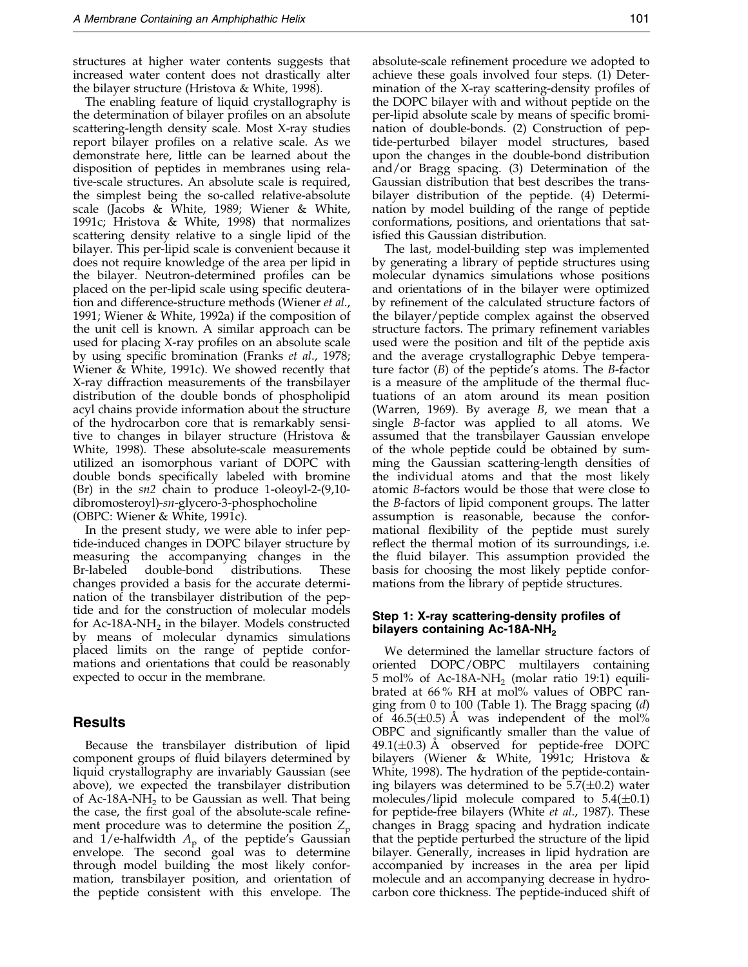structures at higher water contents suggests that increased water content does not drastically alter the bilayer structure [\(Hristova](#page-17-0) & White, 1998).

The enabling feature of liquid crystallography is the determination of bilayer profiles on an absolute scattering-length density scale. Most X-ray studies report bilayer profiles on a relative scale. As we demonstrate here, little can be learned about the disposition of peptides in membranes using relative-scale structures. An absolute scale is required, the simplest being the so-called relative-absolute scale [\(Jacobs &](#page-17-0) White, 1989; [Wiener](#page-18-0) & White, 1991c; [Hristova](#page-17-0) & White, 1998) that normalizes scattering density relative to a single lipid of the bilayer. This per-lipid scale is convenient because it does not require knowledge of the area per lipid in the bilayer. Neutron-determined profiles can be placed on the per-lipid scale using specific deuteration and difference-structure methods [\(Wiener](#page-18-0) et al., 1991; [Wiener &](#page-18-0) White, 1992a) if the composition of the unit cell is known. A similar approach can be used for placing X-ray profiles on an absolute scale by using specific bromination [\(Franks](#page-17-0) *et al.*, 1978; [Wiener &](#page-18-0) White, 1991c). We showed recently that X-ray diffraction measurements of the transbilayer distribution of the double bonds of phospholipid acyl chains provide information about the structure of the hydrocarbon core that is remarkably sensitive to changes in bilayer structure [\(Hristova](#page-17-0) & White, 1998). These absolute-scale measurements utilized an isomorphous variant of DOPC with double bonds specifically labeled with bromine (Br) in the sn2 chain to produce 1-oleoyl-2-(9,10 dibromosteroyl)-sn-glycero-3-phosphocholine (OBPC[: Wiener &](#page-18-0) White, 1991c).

In the present study, we were able to infer peptide-induced changes in DOPC bilayer structure by measuring the accompanying changes in the Br-labeled double-bond distributions. These changes provided a basis for the accurate determination of the transbilayer distribution of the peptide and for the construction of molecular models for Ac-18A-NH<sub>2</sub> in the bilayer. Models constructed by means of molecular dynamics simulations placed limits on the range of peptide conformations and orientations that could be reasonably expected to occur in the membrane.

## Results

Because the transbilayer distribution of lipid component groups of fluid bilayers determined by liquid crystallography are invariably Gaussian (see above), we expected the transbilayer distribution of Ac-18A-NH<sub>2</sub> to be Gaussian as well. That being the case, the first goal of the absolute-scale refinement procedure was to determine the position  $Z_p$ and  $1/e$ -halfwidth  $A_p$  of the peptide's Gaussian envelope. The second goal was to determine through model building the most likely conformation, transbilayer position, and orientation of the peptide consistent with this envelope. The absolute-scale refinement procedure we adopted to achieve these goals involved four steps. (1) Determination of the X-ray scattering-density profiles of the DOPC bilayer with and without peptide on the per-lipid absolute scale by means of specific bromination of double-bonds. (2) Construction of peptide-perturbed bilayer model structures, based upon the changes in the double-bond distribution and/or Bragg spacing. (3) Determination of the Gaussian distribution that best describes the transbilayer distribution of the peptide. (4) Determination by model building of the range of peptide conformations, positions, and orientations that satisfied this Gaussian distribution.

The last, model-building step was implemented by generating a library of peptide structures using molecular dynamics simulations whose positions and orientations of in the bilayer were optimized by refinement of the calculated structure factors of the bilayer/peptide complex against the observed structure factors. The primary refinement variables used were the position and tilt of the peptide axis and the average crystallographic Debye temperature factor  $(B)$  of the peptide's atoms. The B-factor is a measure of the amplitude of the thermal fluctuations of an atom around its mean position [\(Warren,](#page-18-0) 1969). By average B, we mean that a single B-factor was applied to all atoms. We assumed that the transbilayer Gaussian envelope of the whole peptide could be obtained by summing the Gaussian scattering-length densities of the individual atoms and that the most likely atomic B-factors would be those that were close to the B-factors of lipid component groups. The latter assumption is reasonable, because the conformational flexibility of the peptide must surely reflect the thermal motion of its surroundings, *i.e.* the fluid bilayer. This assumption provided the basis for choosing the most likely peptide conformations from the library of peptide structures.

## Step 1: X-ray scattering-density profiles of bilayers containing Ac-18A-NH<sub>2</sub>

We determined the lamellar structure factors of oriented DOPC/OBPC multilayers containing 5 mol% of Ac-18A-NH<sub>2</sub> (molar ratio 19:1) equilibrated at 66 % RH at mol% values of OBPC ran-ging from 0 to 100 [\(Table 1\).](#page-3-0) The Bragg spacing  $(d)$ of  $46.5(\pm 0.5)$  Å was independent of the mol% OBPC and significantly smaller than the value of 49.1( $\pm$ 0.3) Å observed for peptide-free DOPC bilayers [\(Wiener](#page-18-0) & White, 1991c; [Hristova](#page-17-0) & White, 1998). The hydration of the peptide-containing bilayers was determined to be  $5.7(\pm 0.2)$  water molecules/lipid molecule compared to  $5.4(\pm 0.1)$ for peptide-free bilayers [\(White](#page-18-0) et al., 1987). These changes in Bragg spacing and hydration indicate that the peptide perturbed the structure of the lipid bilayer. Generally, increases in lipid hydration are accompanied by increases in the area per lipid molecule and an accompanying decrease in hydrocarbon core thickness. The peptide-induced shift of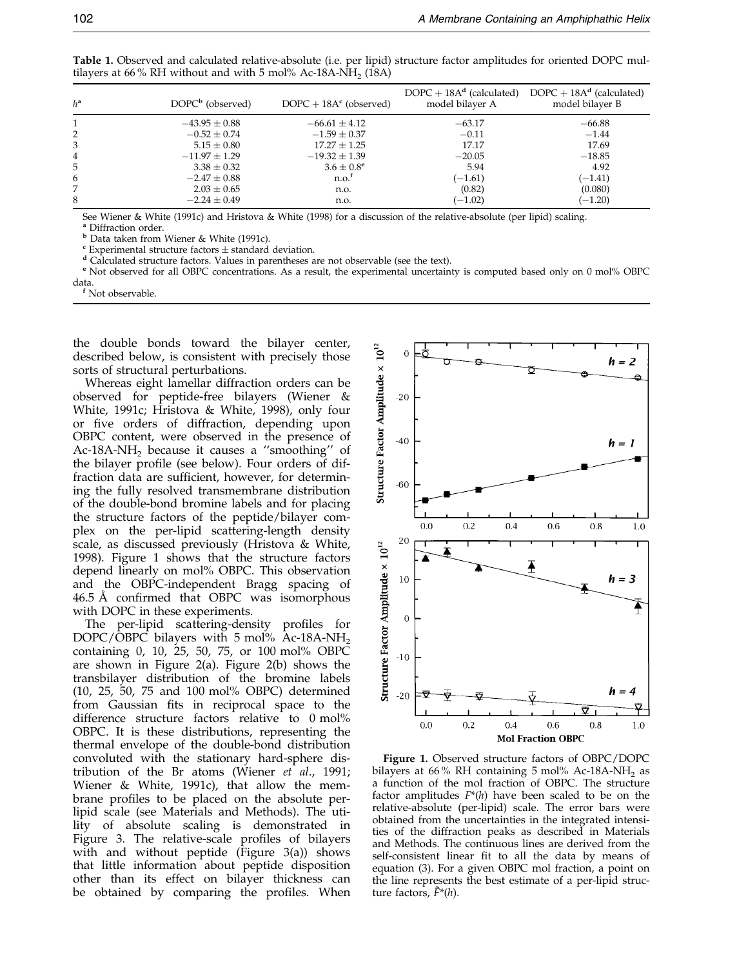| $h^a$ | $DOPCb$ (observed) | $DOPC + 18Ac$ (observed) | model bilayer A | DOPC + $18A^d$ (calculated) DOPC + $18A^d$ (calculated)<br>model bilayer B |
|-------|--------------------|--------------------------|-----------------|----------------------------------------------------------------------------|
|       | $-43.95 \pm 0.88$  | $-66.61 \pm 4.12$        | $-63.17$        | $-66.88$                                                                   |
|       | $-0.52 \pm 0.74$   | $-1.59 \pm 0.37$         | $-0.11$         | $-1.44$                                                                    |
| 3     | $5.15 \pm 0.80$    | $17.27 \pm 1.25$         | 17.17           | 17.69                                                                      |
| 4     | $-11.97 \pm 1.29$  | $-19.32 \pm 1.39$        | $-20.05$        | $-18.85$                                                                   |
| 5     | $3.38 \pm 0.32$    | $3.6 \pm 0.8^{\circ}$    | 5.94            | 4.92                                                                       |
| 6     | $-2.47 \pm 0.88$   | n.o. <sup>f</sup>        | $(-1.61)$       | $(-1.41)$                                                                  |
| 7     | $2.03 \pm 0.65$    | n.o.                     | (0.82)          | (0.080)                                                                    |
| 8     | $-2.24 \pm 0.49$   | n.o.                     | $(-1.02)$       | $(-1.20)$                                                                  |

<span id="page-3-0"></span>Table 1. Observed and calculated relative-absolute (i.e. per lipid) structure factor amplitudes for oriented DOPC multilayers at 66% RH without and with 5 mol% Ac-18A-NH<sub>2</sub> (18A)

Se[e Wiener & W](#page-18-0)hite (1991c) and [Hristova &](#page-17-0) White (1998) for a discussion of the relative-absolute (per lipid) scaling.

<sup>a</sup> Diffraction order.<br><sup>b</sup> Data taken from Wiener & White (1991c).

Experimental structure factors ± standard deviation.<br><sup>d</sup> Calculated structure factors. Values in parentheses are not observable (see the text).<br><sup>e</sup> Not observed for all OBPC concentrations. As a result, the experimental un data.<br><sup>f</sup> Not observable.

the double bonds toward the bilayer center, described below, is consistent with precisely those sorts of structural perturbations.

Whereas eight lamellar diffraction orders can be observed for peptide-free bilayers [\(Wiener](#page-18-0) & White, 1991c; [Hristova](#page-17-0) & White, 1998), only four or five orders of diffraction, depending upon OBPC content, were observed in the presence of Ac-18A-NH<sub>2</sub> because it causes a "smoothing" of the bilayer profile (see below). Four orders of diffraction data are sufficient, however, for determining the fully resolved transmembrane distribution of the double-bond bromine labels and for placing the structure factors of the peptide/bilayer complex on the per-lipid scattering-length density scale, as discussed previously [\(Hristova](#page-17-0) & White, 1998). Figure 1 shows that the structure factors depend linearly on mol% OBPC. This observation and the OBPC-independent Bragg spacing of  $46.5 \text{ Å}$  confirmed that OBPC was isomorphous with DOPC in these experiments.

The per-lipid scattering-density profiles for DOPC/OBPC bilayers with 5 mol% Ac-18A-NH<sub>2</sub> containing 0, 10, 25, 50, 75, or 100 mol% OBPC are shown in Figure 2(a). Figure 2(b) shows the transbilayer distribution of the bromine labels (10, 25, 50, 75 and 100 mol% OBPC) determined from Gaussian fits in reciprocal space to the difference structure factors relative to 0 mol% OBPC. It is these distributions, representing the thermal envelope of the double-bond distribution convoluted with the stationary hard-sphere dis-tribution of the Br atoms [\(Wiener](#page-18-0)  $et^-al$ ., 1991; [Wiener](#page-18-0) & White, 1991c), that allow the membrane profiles to be placed on the absolute perlipid scale (see Materials and Methods). The utility of absolute scaling is demonstrated in Figure 3. The relative-scale profiles of bilayers with and without peptide (Figure  $3(a)$ ) shows that little information about peptide disposition other than its effect on bilayer thickness can be obtained by comparing the profiles. When



Figure 1. Observed structure factors of OBPC/DOPC bilayers at 66% RH containing 5 mol% Ac-18A-NH<sub>2</sub> as a function of the mol fraction of OBPC. The structure factor amplitudes  $F^*(h)$  have been scaled to be on the relative-absolute (per-lipid) scale. The error bars were obtained from the uncertainties in the integrated intensities of the diffraction peaks as described in Materials and Methods. The continuous lines are derived from the self-consistent linear fit to all the data by means of [equation](#page-15-0) (3). For a given OBPC mol fraction, a point on the line represents the best estimate of a per-lipid structure factors,  $\tilde{F}^*(h)$ .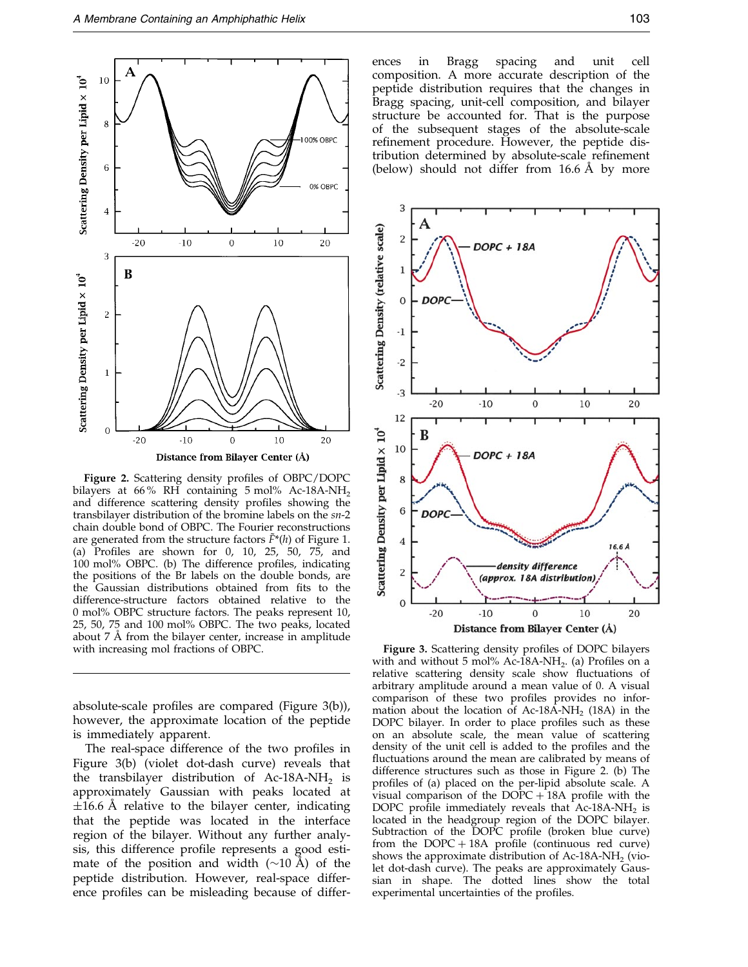

Figure 2. Scattering density profiles of OBPC/DOPC bilayers at 66% RH containing  $5 \text{ mol}$ % Ac-18A-NH<sub>2</sub> and difference scattering density profiles showing the transbilayer distribution of the bromine labels on the sn-2 chain double bond of OBPC. The Fourier reconstructions are generated from the structure factors  $\tilde{F}^*(h)$  of Figure 1. (a) Profiles are shown for 0, 10, 25, 50, 75, and 100 mol% OBPC. (b) The difference profiles, indicating the positions of the Br labels on the double bonds, are the Gaussian distributions obtained from fits to the difference-structure factors obtained relative to the 0 mol% OBPC structure factors. The peaks represent 10, 25, 50, 75 and 100 mol% OBPC. The two peaks, located about  $7 \text{ Å}$  from the bilayer center, increase in amplitude with increasing mol fractions of OBPC. Figure 3. Scattering density profiles of DOPC bilayers

absolute-scale profiles are compared (Figure 3(b)), however, the approximate location of the peptide is immediately apparent.

The real-space difference of the two profiles in Figure 3(b) (violet dot-dash curve) reveals that the transbilayer distribution of Ac-18A-NH<sub>2</sub> is approximately Gaussian with peaks located at  $\pm 16.6$  Å relative to the bilayer center, indicating that the peptide was located in the interface region of the bilayer. Without any further analysis, this difference profile represents a good estimate of the position and width  $(\sim 10 \text{ Å})$  of the peptide distribution. However, real-space difference profiles can be misleading because of differ-

ences in Bragg spacing and unit cell composition. A more accurate description of the peptide distribution requires that the changes in Bragg spacing, unit-cell composition, and bilayer structure be accounted for. That is the purpose of the subsequent stages of the absolute-scale refinement procedure. However, the peptide distribution determined by absolute-scale refinement (below) should not differ from  $16.6 \text{ Å}$  by more



with and without  $5 \text{ mol}$ % Ac-18A-NH<sub>2</sub>. (a) Profiles on a relative scattering density scale show fluctuations of arbitrary amplitude around a mean value of 0. A visual comparison of these two profiles provides no information about the location of Ac-18A-NH<sub>2</sub> (18A) in the DOPC bilayer. In order to place profiles such as these on an absolute scale, the mean value of scattering density of the unit cell is added to the profiles and the fluctuations around the mean are calibrated by means of difference structures such as those in Figure 2. (b) The profiles of (a) placed on the per-lipid absolute scale. A visual comparison of the  $DOPC + 18A$  profile with the DOPC profile immediately reveals that  $Ac-18A-NH<sub>2</sub>$  is located in the headgroup region of the DOPC bilayer. Subtraction of the DOPC profile (broken blue curve) from the  $DOPC + 18A$  profile (continuous red curve) shows the approximate distribution of Ac-18A-NH<sub>2</sub> (violet dot-dash curve). The peaks are approximately Gaussian in shape. The dotted lines show the total experimental uncertainties of the profiles.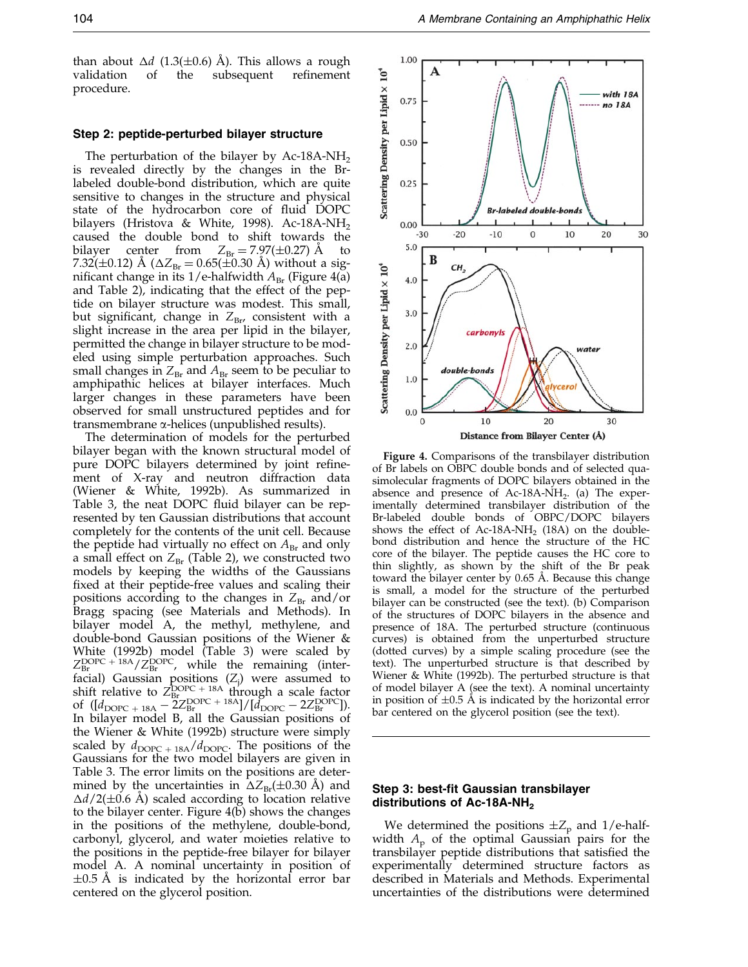than about  $\Delta d$  (1.3( $\pm$ 0.6) Å). This allows a rough validation of the subsequent refinement subsequent procedure.

#### Step 2: peptide-perturbed bilayer structure

The perturbation of the bilayer by Ac-18A-NH<sub>2</sub> is revealed directly by the changes in the Brlabeled double-bond distribution, which are quite sensitive to changes in the structure and physical state of the hydrocarbon core of fluid DOPC bilayers [\(Hristova](#page-17-0) & White, 1998). Ac-18A-NH<sub>2</sub> caused the double bond to shift towards the bilayer center from  $Z_{\text{Br}} = 7.97(\pm 0.27)$  Å 7.32( $\pm$ 0.12) A ( $\Delta Z_{\text{Br}}$  = 0.65( $\pm$ 0.30 A) without a significant change in its 1/e-halfwidth  $A_{\text{Br}}$  (Figure 4(a) and [Table 2\),](#page-6-0) indicating that the effect of the peptide on bilayer structure was modest. This small, but significant, change in  $Z_{\text{Br}}$ , consistent with a slight increase in the area per lipid in the bilayer, permitted the change in bilayer structure to be modeled using simple perturbation approaches. Such small changes in  $Z_{\text{Br}}$  and  $A_{\text{Br}}$  seem to be peculiar to amphipathic helices at bilayer interfaces. Much larger changes in these parameters have been observed for small unstructured peptides and for transmembrane a-helices (unpublished results).

The determination of models for the perturbed bilayer began with the known structural model of pure DOPC bilayers determined by joint refinement of X-ray and neutron diffraction data [\(Wiener](#page-18-0) & White, 1992b). As summarized in [Table 3,](#page-6-0) the neat DOPC fluid bilayer can be represented by ten Gaussian distributions that account completely for the contents of the unit cell. Because the peptide had virtually no effect on  $A_{\text{Br}}$  and only a small effect on  $Z_{Br}$  [\(Table 2\),](#page-6-0) we constructed two models by keeping the widths of the Gaussians fixed at their peptide-free values and scaling their positions according to the changes in  $Z_{\text{Br}}$  and/or Bragg spacing (see Materials and Methods). In bilayer model A, the methyl, methylene, and double-bond Gaussian positions of the [Wiener &](#page-18-0) White (1992b) model [\(Table 3\)](#page-6-0) were scaled by  $Z_{\rm Br}^{\rm DOPC + 18A}/Z_{\rm Br}^{\rm DOPC}$ , while the remaining (interfacial) Gaussian positions  $(Z_j)$  were assumed to shift relative to  $Z_{\text{Br}}^{\text{DOPC}}$  + 18A through a scale factor of  $\left(\begin{bmatrix} d_{\text{DOPC}} + 18\mathbf{A} - 2Z_{\text{Br}}^{\text{DOPC}} + 18\mathbf{A} \end{bmatrix} / \left[\begin{bmatrix} d_{\text{DOPC}} - 2Z_{\text{Br}}^{\text{DOPC}} \end{bmatrix}\right]\right)$ In bilayer model B, all the Gaussian positions of the [Wiener &](#page-18-0) White (1992b) structure were simply scaled by  $d_{\text{DOPC + 18A}}/d_{\text{DOPC}}$ . The positions of the Gaussians for the two model bilayers are given in [Table 3.](#page-6-0) The error limits on the positions are determined by the uncertainties in  $\Delta Z_{\text{Br}}(\pm 0.30 \text{ A})$  and  $\Delta d/2(\pm 0.6 \text{ A})$  scaled according to location relative to the bilayer center. Figure 4(b) shows the changes in the positions of the methylene, double-bond, carbonyl, glycerol, and water moieties relative to the positions in the peptide-free bilayer for bilayer model A. A nominal uncertainty in position of  $\pm 0.5$  Å is indicated by the horizontal error bar centered on the glycerol position.



Figure 4. Comparisons of the transbilayer distribution of Br labels on OBPC double bonds and of selected quasimolecular fragments of DOPC bilayers obtained in the absence and presence of  $Ac-18A-NH<sub>2</sub>$ . (a) The experimentally determined transbilayer distribution of the Br-labeled double bonds of OBPC/DOPC bilayers shows the effect of Ac-18A-NH<sub>2</sub> (18A) on the doublebond distribution and hence the structure of the HC core of the bilayer. The peptide causes the HC core to thin slightly, as shown by the shift of the Br peak toward the bilayer center by 0.65 Å. Because this change is small, a model for the structure of the perturbed bilayer can be constructed (see the text). (b) Comparison of the structures of DOPC bilayers in the absence and presence of 18A. The perturbed structure (continuous curves) is obtained from the unperturbed structure (dotted curves) by a simple scaling procedure (see the text). The unperturbed structure is that described by [Wiener &](#page-18-0) White (1992b). The perturbed structure is that of model bilayer A (see the text). A nominal uncertainty in position of  $\pm 0.5$  Å is indicated by the horizontal error bar centered on the glycerol position (see the text).

## Step 3: best-fit Gaussian transbilayer distributions of Ac-18A-NH<sub>2</sub>

We determined the positions  $\pm Z_p$  and 1/e-halfwidth  $A_{\rm p}$  of the optimal Gaussian pairs for the transbilayer peptide distributions that satisfied the experimentally determined structure factors as described in Materials and Methods. Experimental uncertainties of the distributions were determined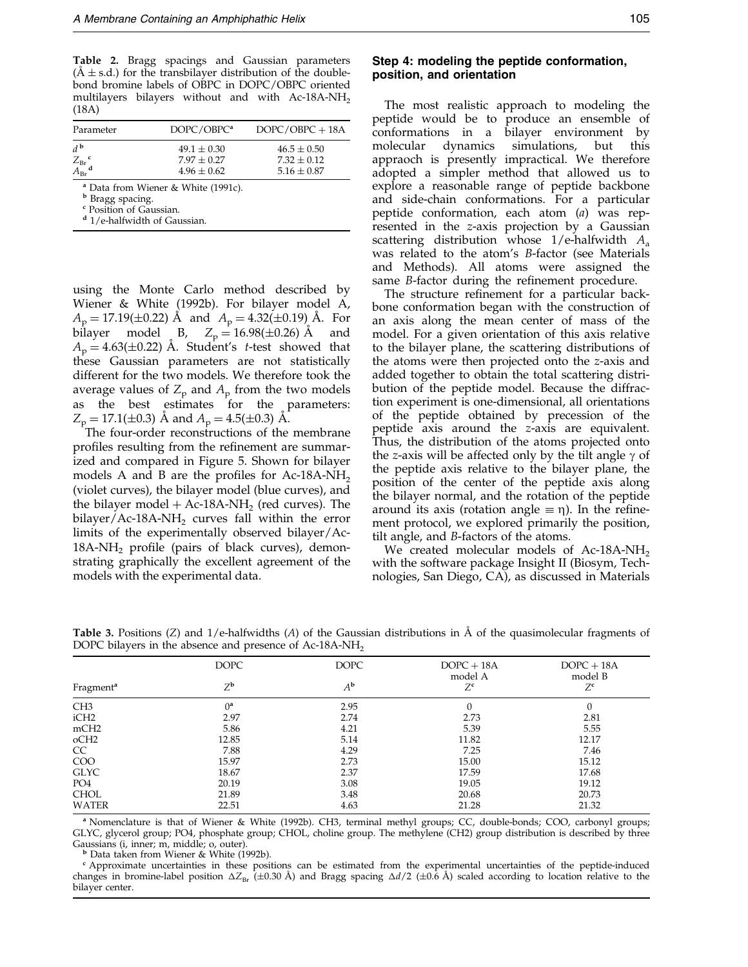<span id="page-6-0"></span>Table 2. Bragg spacings and Gaussian parameters  $(\text{A} \pm \text{s.d.})$  for the transbilayer distribution of the doublebond bromine labels of OBPC in DOPC/OBPC oriented multilayers bilayers without and with Ac-18A-NH2 (18A)

| Parameter                                                                       | DOPC/OBPC <sup>a</sup>                                | $DOPC/OBPC + 18A$                                     |
|---------------------------------------------------------------------------------|-------------------------------------------------------|-------------------------------------------------------|
| $d^{\mathbf{b}}$<br>$\frac{Z_{\text{Br}}^{\text{c}}}{A_{\text{Br}}^{\text{d}}}$ | $49.1 \pm 0.30$<br>$7.97 \pm 0.27$<br>$4.96 \pm 0.62$ | $46.5 \pm 0.50$<br>$7.32 \pm 0.12$<br>$5.16 \pm 0.87$ |

<sup>a</sup> Data fro[m Wiener & W](#page-18-0)hite (1991c).

<sup>c</sup> Position of Gaussian.

<sup>d</sup> 1/e-halfwidth of Gaussian.

using the Monte Carlo method described by [Wiener](#page-18-0) & White (1992b). For bilayer model A,  $A_p = 17.19(\pm 0.22)$  Å and  $A_p = 4.32(\pm 0.19)$  Å. For bilayer model B,  $Z_p = 16.98(\pm 0.26)$  Å and bilayer model B,  $Z_p = 16.98(\pm 0.26)$  Å  $A_p = 4.63(\pm 0.22)$  A. Student's t-test showed that these Gaussian parameters are not statistically different for the two models. We therefore took the average values of  $Z_p$  and  $A_p$  from the two models as the best estimates for the parameters:  $Z_p = 17.1(\pm 0.3)$  Å and  $A_p = 4.5(\pm 0.3)$  Å.

The four-order reconstructions of the membrane profiles resulting from the refinement are summarized and compared in Figure 5. Shown for bilayer models A and B are the profiles for Ac-18A-NH<sub>2</sub> (violet curves), the bilayer model (blue curves), and the bilayer model  $+$  Ac-18A-NH<sub>2</sub> (red curves). The bilayer/Ac-18A-NH<sub>2</sub> curves fall within the error limits of the experimentally observed bilayer/Ac- $18A-NH<sub>2</sub>$  profile (pairs of black curves), demonstrating graphically the excellent agreement of the models with the experimental data.

The most realistic approach to modeling the peptide would be to produce an ensemble of conformations in a bilayer environment by molecular dynamics simulations, but this appraoch is presently impractical. We therefore adopted a simpler method that allowed us to explore a reasonable range of peptide backbone and side-chain conformations. For a particular peptide conformation, each atom (a) was represented in the z-axis projection by a Gaussian scattering distribution whose  $1/e$ -halfwidth  $A_a$ was related to the atom's B-factor (see Materials and Methods). All atoms were assigned the same  $B$ -factor during the refinement procedure.

The structure refinement for a particular backbone conformation began with the construction of an axis along the mean center of mass of the model. For a given orientation of this axis relative to the bilayer plane, the scattering distributions of the atoms were then projected onto the z-axis and added together to obtain the total scattering distribution of the peptide model. Because the diffraction experiment is one-dimensional, all orientations of the peptide obtained by precession of the peptide axis around the z-axis are equivalent. Thus, the distribution of the atoms projected onto the z-axis will be affected only by the tilt angle  $\gamma$  of the peptide axis relative to the bilayer plane, the position of the center of the peptide axis along the bilayer normal, and the rotation of the peptide around its axis (rotation angle  $\equiv \eta$ ). In the refinement protocol, we explored primarily the position, tilt angle, and B-factors of the atoms.

We created molecular models of Ac-18A-NH<sub>2</sub> with the software package Insight II (Biosym, Technologies, San Diego, CA), as discussed in Materials

| <b>DOPC</b><br>$Z^{\mathbf{b}}$ | <b>DOPC</b><br>$A^{\bf b}$ | $DOPC + 18A$<br>model A<br>$Z^c$ | $DOPC + 18A$<br>model B<br>$Z^{\mathsf{c}}$ |
|---------------------------------|----------------------------|----------------------------------|---------------------------------------------|
| $0^a$                           | 2.95                       |                                  |                                             |
| 2.97                            | 2.74                       | 2.73                             | 2.81                                        |
| 5.86                            | 4.21                       | 5.39                             | 5.55                                        |
| 12.85                           | 5.14                       | 11.82                            | 12.17                                       |
| 7.88                            | 4.29                       | 7.25                             | 7.46                                        |
| 15.97                           | 2.73                       | 15.00                            | 15.12                                       |
| 18.67                           | 2.37                       | 17.59                            | 17.68                                       |
| 20.19                           | 3.08                       | 19.05                            | 19.12                                       |
| 21.89                           | 3.48                       | 20.68                            | 20.73                                       |
| 22.51                           | 4.63                       | 21.28                            | 21.32                                       |
|                                 |                            |                                  |                                             |

**Table 3.** Positions (Z) and  $1/e$ -halfwidths (A) of the Gaussian distributions in  $\AA$  of the quasimolecular fragments of DOPC bilayers in the absence and presence of Ac-18A-NH<sub>2</sub>

<sup>a</sup> Nomenclature is that of [Wiener &](#page-18-0) White (1992b). CH3, terminal methyl groups; CC, double-bonds; COO, carbonyl groups; GLYC, glycerol group; PO4, phosphate group; CHOL, choline group. The methylene (CH2) group distribution is described by three

<sup>b</sup> Data taken from [Wiener &](#page-18-0) White (1992b). combinds (1992b). c Approximate uncertainties of the peptide-induced comproximate uncertainties in these positions can be estimated from the experimental uncertainties of the pep changes in bromine-label position  $\Delta Z_{\text{Br}}$  (±0.30 Å) and Bragg spacing  $\Delta d/2$  (±0.6 Å) scaled according to location relative to the bilayer center.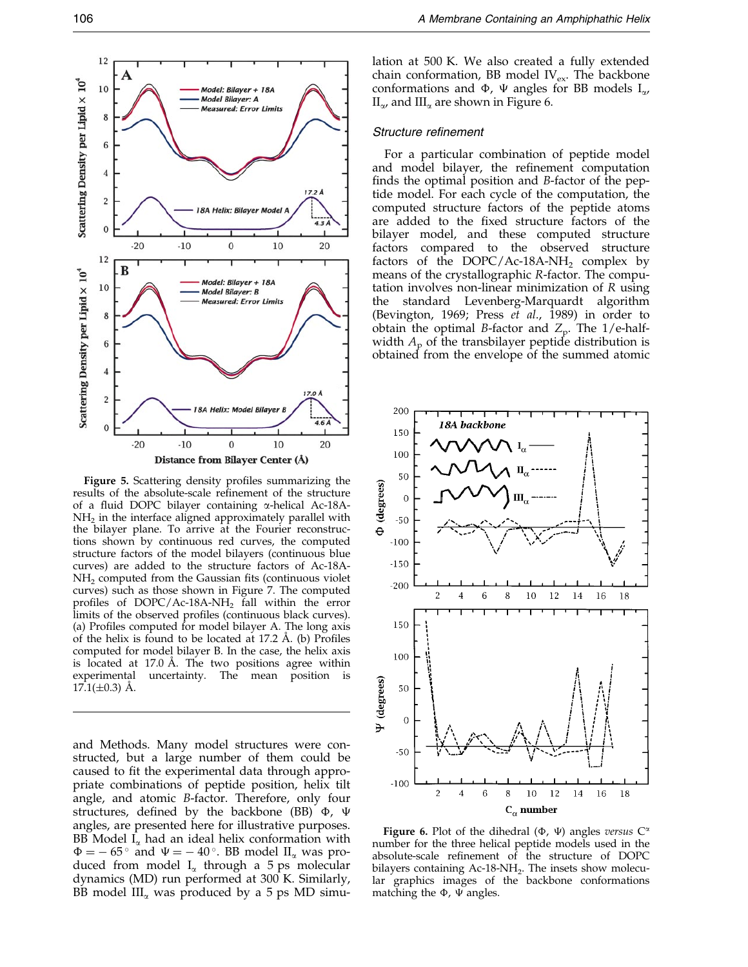

Figure 5. Scattering density profiles summarizing the results of the absolute-scale refinement of the structure of a fluid DOPC bilayer containing  $\alpha$ -helical Ac-18A- $NH<sub>2</sub>$  in the interface aligned approximately parallel with the bilayer plane. To arrive at the Fourier reconstructions shown by continuous red curves, the computed structure factors of the model bilayers (continuous blue curves) are added to the structure factors of Ac-18A-NH<sub>2</sub> computed from the Gaussian fits (continuous violet curves) such as those shown in Figure 7. The computed profiles of  $DOPC/Ac-18A-NH<sub>2</sub>$  fall within the error limits of the observed profiles (continuous black curves). (a) Profiles computed for model bilayer A. The long axis of the helix is found to be located at  $17.2$  Å. (b) Profiles computed for model bilayer B. In the case, the helix axis is located at  $17.0$  Å. The two positions agree within experimental uncertainty. The mean position is  $17.1(\pm 0.3)$  A.

and Methods. Many model structures were constructed, but a large number of them could be caused to fit the experimental data through appropriate combinations of peptide position, helix tilt angle, and atomic B-factor. Therefore, only four structures, defined by the backbone (BB)  $\Phi$ ,  $\Psi$ angles, are presented here for illustrative purposes. BB Model  $I_{\alpha}$  had an ideal helix conformation with  $\Phi = -65^{\circ}$  and  $\Psi = -40^{\circ}$ . BB model  $II_{\alpha}$  was produced from model  $I_{\alpha}$  through a 5 ps molecular dynamics (MD) run performed at 300 K. Similarly, BB model  $III_{\alpha}$  was produced by a 5 ps MD simulation at 500 K. We also created a fully extended chain conformation, BB model  $\text{IV}_{\text{ex}}$ . The backbone conformations and  $\Phi$ ,  $\Psi$  angles for BB models  $I_{\alpha}$ ,  $II_{\alpha}$ , and  $III_{\alpha}$  are shown in Figure 6.

## Structure refinement

For a particular combination of peptide model and model bilayer, the refinement computation finds the optimal position and  $B$ -factor of the peptide model. For each cycle of the computation, the computed structure factors of the peptide atoms are added to the fixed structure factors of the bilayer model, and these computed structure factors compared to the observed structure factors of the DOPC/Ac-18A-NH<sub>2</sub> complex by means of the crystallographic R-factor. The computation involves non-linear minimization of R using the standard Levenberg-Marquardt algorithm [\(Bevingto](#page-16-0)n, 1969; Press et al., 1989) in order to obtain the optimal B-factor and  $Z_p$ . The 1/e-halfwidth  $A_p$  of the transbilayer peptide distribution is obtained from the envelope of the summed atomic



Figure 6. Plot of the dihedral ( $\Phi$ ,  $\Psi$ ) angles versus  $C^{\alpha}$ number for the three helical peptide models used in the absolute-scale refinement of the structure of DOPC bilayers containing Ac-18-NH<sub>2</sub>. The insets show molecular graphics images of the backbone conformations matching the  $\Phi$ ,  $\Psi$  angles.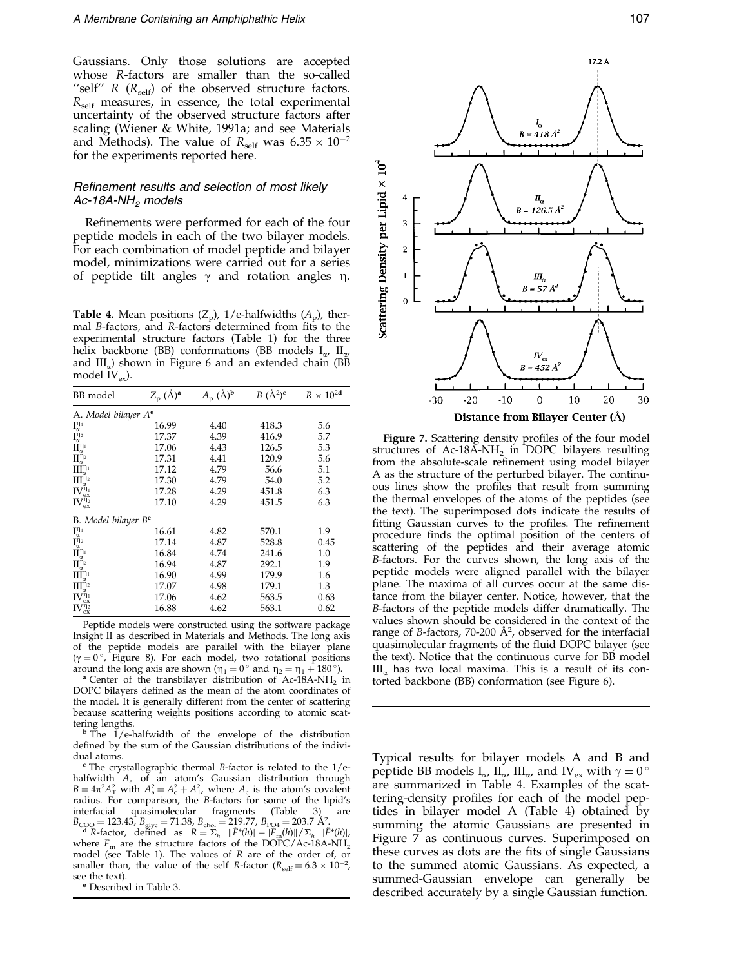<span id="page-8-0"></span>Gaussians. Only those solutions are accepted whose R-factors are smaller than the so-called "self" R  $(R_{\text{self}})$  of the observed structure factors.  $R_{\text{self}}$  measures, in essence, the total experimental uncertainty of the observed structure factors after scaling [\(Wiener &](#page-18-0) White, 1991a; and see Materials and Methods). The value of  $R_{\text{self}}$  was  $6.35 \times 10^{-2}$ for the experiments reported here.

## Refinement results and selection of most likely Ac-18A-NH<sub>2</sub> models

Refinements were performed for each of the four peptide models in each of the two bilayer models. For each combination of model peptide and bilayer model, minimizations were carried out for a series of peptide tilt angles  $\gamma$  and rotation angles  $\eta$ .

**Table 4.** Mean positions  $(Z_p)$ , 1/e-halfwidths  $(A_p)$ , thermal *B-factors, and R-factors determined from fits to the* experimental structure factors [\(Table 1\)](#page-3-0) for the three helix backbone (BB) conformations (BB models  $I_{\alpha}$ ,  $II_{\alpha}$ and  $III_{\alpha}$ ) shown in Figure 6 and an extended chain (BB model  $\rm IV_{ex}$ ).

| BB model                                                                                                                                                                                                                                                                          | $Z_{\rm p}$ (Å) <sup>a</sup> | $A_{\rm p}$ (Å) <sup>b</sup> | $B(A^2)^c$ | $R \times 10^{2d}$ |
|-----------------------------------------------------------------------------------------------------------------------------------------------------------------------------------------------------------------------------------------------------------------------------------|------------------------------|------------------------------|------------|--------------------|
| A. Model bilayer A <sup>e</sup>                                                                                                                                                                                                                                                   |                              |                              |            |                    |
|                                                                                                                                                                                                                                                                                   | 16.99                        | 4.40                         | 418.3      | 5.6                |
|                                                                                                                                                                                                                                                                                   | 17.37                        | 4.39                         | 416.9      | 5.7                |
|                                                                                                                                                                                                                                                                                   | 17.06                        | 4.43                         | 126.5      | 5.3                |
|                                                                                                                                                                                                                                                                                   | 17.31                        | 4.41                         | 120.9      | 5.6                |
|                                                                                                                                                                                                                                                                                   | 17.12                        | 4.79                         | 56.6       | 5.1                |
|                                                                                                                                                                                                                                                                                   | 17.30                        | 4.79                         | 54.0       | 5.2                |
|                                                                                                                                                                                                                                                                                   | 17.28                        | 4.29                         | 451.8      | 6.3                |
| $\begin{array}{l} I^{\eta_{1}}_{\alpha} \\ I^{\eta_{2}}_{\alpha} \\ II^{\eta_{1}}_{\alpha} \\ III^{\eta_{2}}_{\alpha} \\ III^{\eta_{1}}_{\alpha} \\ III^{\eta_{1}}_{\alpha} \\ IV^{\eta_{1}}_{\alpha} \\ IV^{\eta_{2}}_{\alpha} \\ IV^{\eta_{2}}_{\alpha} \end{array}$            | 17.10                        | 4.29                         | 451.5      | 6.3                |
| B. Model bilayer B <sup>e</sup>                                                                                                                                                                                                                                                   |                              |                              |            |                    |
|                                                                                                                                                                                                                                                                                   | 16.61                        | 4.82                         | 570.1      | 1.9                |
|                                                                                                                                                                                                                                                                                   | 17.14                        | 4.87                         | 528.8      | 0.45               |
|                                                                                                                                                                                                                                                                                   | 16.84                        | 4.74                         | 241.6      | 1.0                |
|                                                                                                                                                                                                                                                                                   | 16.94                        | 4.87                         | 292.1      | 1.9                |
|                                                                                                                                                                                                                                                                                   | 16.90                        | 4.99                         | 179.9      | 1.6                |
|                                                                                                                                                                                                                                                                                   | 17.07                        | 4.98                         | 179.1      | 1.3                |
|                                                                                                                                                                                                                                                                                   | 17.06                        | 4.62                         | 563.5      | 0.63               |
| $\begin{array}{l} I_{\alpha}^{\eta_1} \\ I_{\alpha}^{\eta_2} \\ \Pi_{\alpha}^{\eta_1} \\ \Pi_{\alpha}^{\eta_2} \\ \Pi_{\alpha}^{\eta_1} \\ \Pi_{\alpha}^{\eta_2} \\ \Pi_{\alpha}^{\eta_1} \\ \Pi_{\alpha}^{\eta_2} \\ \Pi_{\alpha}^{\eta_2} \\ \Pi_{\alpha}^{\eta_3} \end{array}$ | 16.88                        | 4.62                         | 563.1      | 0.62               |

Peptide models were constructed using the software package Insight II as described in Materials and Methods. The long axis of the peptide models are parallel with the bilayer plane  $(\gamma = 0^\circ)$ . Figure 8). For each model, two rotational positions around the long axis are shown  $(\eta_1 = 0^\circ$  and  $\eta_2 = \eta_1 + 180^\circ)$ .

<sup>a</sup> Center of the transbilayer distribution of Ac-18A-NH<sub>2</sub> in DOPC bilayers defined as the mean of the atom coordinates of the model. It is generally different from the center of scattering because scattering weights positions according to atomic scattering lengths.<br><sup>b</sup> The 1/e-halfwidth of the envelope of the distribution

defined by the sum of the Gaussian distributions of the indivi-<br>dual atoms.

The crystallographic thermal B-factor is related to the  $1/e$ halfwidth  $A_a$  of an atom's Gaussian distribution through  $B = 4\pi^2 A_{\rm T}^2$  with  $A_{\rm a}^2 = A_{\rm c}^2 + A_{\rm T}^2$ , where  $A_{\rm c}$  is the atom's covalent radius. For comparison, the B-factors for some of the lipid's interfacial quasimolecular fragments (Table 3) are interfacial quasimolecular fragments

 $B_{\text{COO}} = 123.43$ ,  $B_{\text{glyc}} = 71.38$ ,  $B_{\text{chol}} = 219.77$ ,  $B_{\text{PO4}} = 203.7 \text{ Å}^2$ .<br>  $\mathbb{E}^*(h) = \frac{F^*(h)}{F^*(h)} = \frac{F^*(h)}{F^*(h)} = \frac{F^*(h)}{F^*(h)}$ where  $F_m$  are the structure factors of the DOPC/Ac-18A-NH<sub>2</sub> model (see [Table 1\). T](#page-3-0)he values of  $R$  are of the order of, or smaller than, the value of the self *R*-factor ( $R_{\text{self}} = 6.3 \times 10^{-2}$ , see the text).<br>
<sup>e</sup> Described i[n Table 3.](#page-6-0)



Figure 7. Scattering density profiles of the four model structures of  $Ac-18A-NH_2$  in DOPC bilayers resulting from the absolute-scale refinement using model bilayer A as the structure of the perturbed bilayer. The continuous lines show the profiles that result from summing the thermal envelopes of the atoms of the peptides (see the text). The superimposed dots indicate the results of fitting Gaussian curves to the profiles. The refinement procedure finds the optimal position of the centers of scattering of the peptides and their average atomic B-factors. For the curves shown, the long axis of the peptide models were aligned parallel with the bilayer plane. The maxima of all curves occur at the same distance from the bilayer center. Notice, however, that the B-factors of the peptide models differ dramatically. The values shown should be considered in the context of the range of B-factors, 70-200  $\AA^2$ , observed for the interfacial quasimolecular fragments of the fluid DOPC bilayer (see the text). Notice that the continuous curve for BB model  $III_{\alpha}$  has two local maxima. This is a result of its contorted backbone (BB) conformation (see Figure 6).

Typical results for bilayer models A and B and peptide BB models  $I_{\alpha}$ ,  $II_{\alpha}$ ,  $III_{\alpha}$ , and IV<sub>ex</sub> with  $\gamma = 0^{\circ}$ are summarized in Table 4. Examples of the scattering-density profiles for each of the model peptides in bilayer model A (Table 4) obtained by summing the atomic Gaussians are presented in Figure 7 as continuous curves. Superimposed on these curves as dots are the fits of single Gaussians to the summed atomic Gaussians. As expected, a summed-Gaussian envelope can generally be described accurately by a single Gaussian function.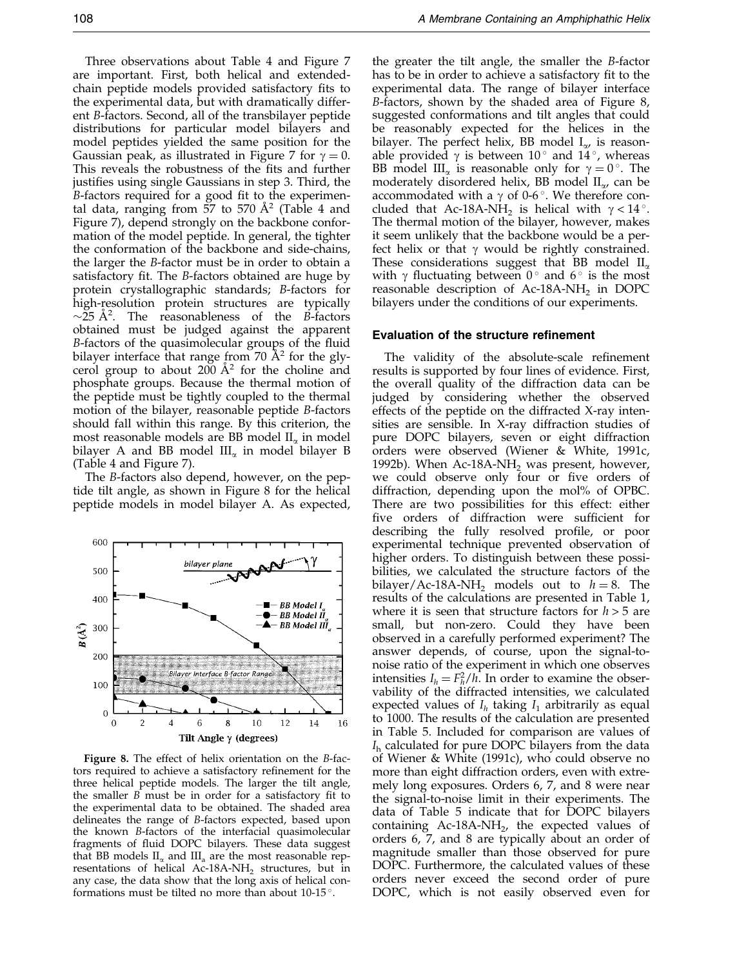Three observations about [Table 4](#page-8-0) and Figure 7 are important. First, both helical and extendedchain peptide models provided satisfactory fits to the experimental data, but with dramatically different B-factors. Second, all of the transbilayer peptide distributions for particular model bilayers and model peptides yielded the same position for the Gaussian peak, as illustrated in Figure 7 for  $\gamma = 0$ . This reveals the robustness of the fits and further justifies using single Gaussians in step 3. Third, the B-factors required for a good fit to the experimental data, ranging from 57 to 570  $A<sup>2</sup>$  [\(Table 4](#page-8-0) and Figure 7), depend strongly on the backbone conformation of the model peptide. In general, the tighter the conformation of the backbone and side-chains, the larger the B-factor must be in order to obtain a satisfactory fit. The B-factors obtained are huge by protein crystallographic standards; B-factors for high-resolution protein structures are typically  $\sim$ 25 Å<sup>2</sup>. The reasonableness of the B-factors obtained must be judged against the apparent B-factors of the quasimolecular groups of the fluid bilayer interface that range from 70  $\AA$ <sup>2</sup> for the glycerol group to about  $200 \text{ Å}^2$  for the choline and phosphate groups. Because the thermal motion of the peptide must be tightly coupled to the thermal motion of the bilayer, reasonable peptide B-factors should fall within this range. By this criterion, the most reasonable models are BB model  $II_{\alpha}$  in model bilayer A and BB model  $III_{\alpha}$  in model bilayer B [\(Table 4 a](#page-8-0)nd Figure 7).

The B-factors also depend, however, on the peptide tilt angle, as shown in Figure 8 for the helical peptide models in model bilayer A. As expected,



Figure 8. The effect of helix orientation on the B-factors required to achieve a satisfactory refinement for the three helical peptide models. The larger the tilt angle, the smaller  $B$  must be in order for a satisfactory fit to the experimental data to be obtained. The shaded area delineates the range of B-factors expected, based upon the known B-factors of the interfacial quasimolecular fragments of fluid DOPC bilayers. These data suggest that BB models  $II_{\alpha}$  and  $III_{\alpha}$  are the most reasonable representations of helical Ac-18A-NH<sub>2</sub> structures, but in any case, the data show that the long axis of helical conformations must be tilted no more than about  $10-15$ °.

the greater the tilt angle, the smaller the B-factor has to be in order to achieve a satisfactory fit to the experimental data. The range of bilayer interface B-factors, shown by the shaded area of Figure 8, suggested conformations and tilt angles that could be reasonably expected for the helices in the bilayer. The perfect helix, BB model  $I_{\alpha}$  is reasonable provided  $\gamma$  is between 10<sup>°</sup> and 14<sup>°</sup>, whereas BB model III<sub>n</sub> is reasonable only for  $\gamma = 0^{\circ}$ . The moderately disordered helix, BB model  $II_{\alpha}$ , can be accommodated with a  $\gamma$  of 0-6 $\degree$ . We therefore concluded that Ac-18A-NH<sub>2</sub> is helical with  $\gamma < 14$ °. The thermal motion of the bilayer, however, makes it seem unlikely that the backbone would be a perfect helix or that  $\gamma$  would be rightly constrained. These considerations suggest that BB model  $II_{\alpha}$ with  $\gamma$  fluctuating between  $0^{\circ}$  and  $6^{\circ}$  is the most reasonable description of Ac-18A-NH<sub>2</sub> in DOPC bilayers under the conditions of our experiments.

#### Evaluation of the structure refinement

The validity of the absolute-scale refinement results is supported by four lines of evidence. First, the overall quality of the diffraction data can be judged by considering whether the observed effects of the peptide on the diffracted X-ray intensities are sensible. In X-ray diffraction studies of pure DOPC bilayers, seven or eight diffraction orders were observed [\(Wiener](#page-18-0) & White, 1991c, [1992b\). W](#page-18-0)hen  $Ac-18A-NH_2$  was present, however, we could observe only four or five orders of diffraction, depending upon the mol% of OPBC. There are two possibilities for this effect: either five orders of diffraction were sufficient for describing the fully resolved profile, or poor experimental technique prevented observation of higher orders. To distinguish between these possibilities, we calculated the structure factors of the bilayer/Ac-18A-NH<sub>2</sub> models out to  $h = 8$ . The results of the calculations are presented in [Table 1,](#page-3-0) where it is seen that structure factors for  $h > 5$  are small, but non-zero. Could they have been observed in a carefully performed experiment? The answer depends, of course, upon the signal-tonoise ratio of the experiment in which one observes intensities  $I_h = F_h^2/h$ . In order to examine the observability of the diffracted intensities, we calculated expected values of  $I<sub>h</sub>$  taking  $I<sub>1</sub>$  arbitrarily as equal to 1000. The results of the calculation are presented in [Table 5.](#page-10-0) Included for comparison are values of  $I<sub>h</sub>$  calculated for pure DOPC bilayers from the data of [Wiener &](#page-18-0) White (1991c), who could observe no more than eight diffraction orders, even with extremely long exposures. Orders 6, 7, and 8 were near the signal-to-noise limit in their experiments. The data of [Table 5](#page-10-0) indicate that for DOPC bilayers containing  $Ac-18A-NH_2$ , the expected values of orders 6, 7, and 8 are typically about an order of magnitude smaller than those observed for pure DOPC. Furthermore, the calculated values of these orders never exceed the second order of pure DOPC, which is not easily observed even for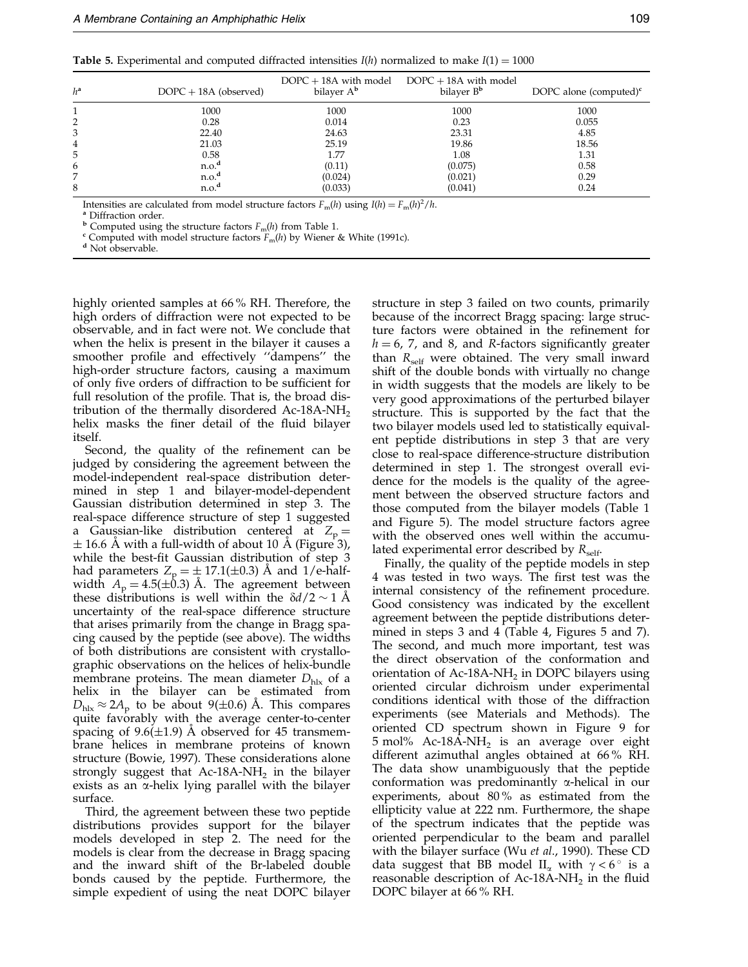<span id="page-10-0"></span>

| <b>Table 5.</b> Experimental and computed diffracted intensities $I(h)$ normalized to make $I(1) = 1000$ |  |
|----------------------------------------------------------------------------------------------------------|--|
|----------------------------------------------------------------------------------------------------------|--|

| $h^a$ | $DOPC + 18A$ (observed) | $DOPC + 18A$ with model<br>bilayer A <sup>b</sup> | $DOPC + 18A$ with model<br>bilayer B <sup>b</sup> | DOPC alone (computed) $\rm^c$ |
|-------|-------------------------|---------------------------------------------------|---------------------------------------------------|-------------------------------|
|       | 1000                    | 1000                                              | 1000                                              | 1000                          |
|       | 0.28                    | 0.014                                             | 0.23                                              | 0.055                         |
|       | 22.40                   | 24.63                                             | 23.31                                             | 4.85                          |
| 4     | 21.03                   | 25.19                                             | 19.86                                             | 18.56                         |
| 5     | 0.58                    | 1.77                                              | 1.08                                              | 1.31                          |
| 6     | n.o. <sup>d</sup>       | (0.11)                                            | (0.075)                                           | 0.58                          |
|       | n.o. <sup>d</sup>       | (0.024)                                           | (0.021)                                           | 0.29                          |
| 8     | n.o. <sup>d</sup>       | (0.033)                                           | (0.041)                                           | 0.24                          |

Intensities are calculated from model structure factors  $F_m(h)$  using  $I(h) = F_m(h)^2/h$ .<br><sup>a</sup> Diffraction order.

 $^{\text{b}}$  Computed using the structure factors  $F_{\text{m}}(h)$  fro[m Table 1.](#page-3-0) c Computed with model structure factors  $F_{\text{m}}(h)$  by [Wiener & W](#page-18-0)hite (1991c).  $^{\text{d}}$  Not observable.

highly oriented samples at 66 % RH. Therefore, the high orders of diffraction were not expected to be observable, and in fact were not. We conclude that when the helix is present in the bilayer it causes a smoother profile and effectively "dampens" the high-order structure factors, causing a maximum of only five orders of diffraction to be sufficient for full resolution of the profile. That is, the broad distribution of the thermally disordered Ac-18A-NH<sub>2</sub> helix masks the finer detail of the fluid bilayer itself.

Second, the quality of the refinement can be judged by considering the agreement between the model-independent real-space distribution determined in step 1 and bilayer-model-dependent Gaussian distribution determined in step 3. The real-space difference structure of step 1 suggested a Gaussian-like distribution centered at  $Z_p =$  $\pm$  16.6 Å with a full-width of about 10 Å (Figure 3), while the best-fit Gaussian distribution of step 3 had parameters  $Z_p = \pm 17.1(\pm 0.3)$  Å and 1/e-halfwidth  $A_p = 4.5(\pm 0.3)$  Å. The agreement between these distributions is well within the  $\delta d/2 \sim 1$  Å uncertainty of the real-space difference structure that arises primarily from the change in Bragg spacing caused by the peptide (see above). The widths of both distributions are consistent with crystallographic observations on the helices of helix-bundle membrane proteins. The mean diameter  $D_{\text{hlx}}$  of a helix in the bilayer can be estimated from  $D_{\text{hlx}} \approx 2A_p$  to be about 9(±0.6) A. This compares quite favorably with the average center-to-center spacing of  $9.6(\pm 1.9)$  Å observed for 45 transmembrane helices in membrane proteins of known structure [\(Bowie, 1](#page-17-0)997). These considerations alone strongly suggest that  $Ac-18A-NH<sub>2</sub>$  in the bilayer exists as an a-helix lying parallel with the bilayer surface.

Third, the agreement between these two peptide distributions provides support for the bilayer models developed in step 2. The need for the models is clear from the decrease in Bragg spacing and the inward shift of the Br-labeled double bonds caused by the peptide. Furthermore, the simple expedient of using the neat DOPC bilayer structure in step 3 failed on two counts, primarily because of the incorrect Bragg spacing: large structure factors were obtained in the refinement for  $h = 6$ , 7, and 8, and R-factors significantly greater than  $R_{\text{self}}$  were obtained. The very small inward shift of the double bonds with virtually no change in width suggests that the models are likely to be very good approximations of the perturbed bilayer structure. This is supported by the fact that the two bilayer models used led to statistically equivalent peptide distributions in step 3 that are very close to real-space difference-structure distribution determined in step 1. The strongest overall evidence for the models is the quality of the agreement between the observed structure factors and those computed from the bilayer models [\(Table 1](#page-3-0) and Figure 5). The model structure factors agree with the observed ones well within the accumulated experimental error described by  $R_{\text{self}}$ .

Finally, the quality of the peptide models in step 4 was tested in two ways. The first test was the internal consistency of the refinement procedure. Good consistency was indicated by the excellent agreement between the peptide distributions determined in steps 3 and 4 [\(Table 4,](#page-8-0) Figures 5 and 7). The second, and much more important, test was the direct observation of the conformation and orientation of Ac-18A-NH<sub>2</sub> in DOPC bilayers using oriented circular dichroism under experimental conditions identical with those of the diffraction experiments (see Materials and Methods). The oriented CD spectrum shown in Figure 9 for 5 mol% Ac-18A-NH<sub>2</sub> is an average over eight different azimuthal angles obtained at 66 % RH. The data show unambiguously that the peptide conformation was predominantly a-helical in our experiments, about  $80\%$  as estimated from the ellipticity value at 222 nm. Furthermore, the shape of the spectrum indicates that the peptide was oriented perpendicular to the beam and parallel with the bilayer surface [\(Wu](#page-18-0) et al., 1990). These CD data suggest that BB model  $II_{\alpha}$  with  $\gamma < 6^{\circ}$  is a reasonable description of Ac-18A-NH<sub>2</sub> in the fluid DOPC bilayer at 66 % RH.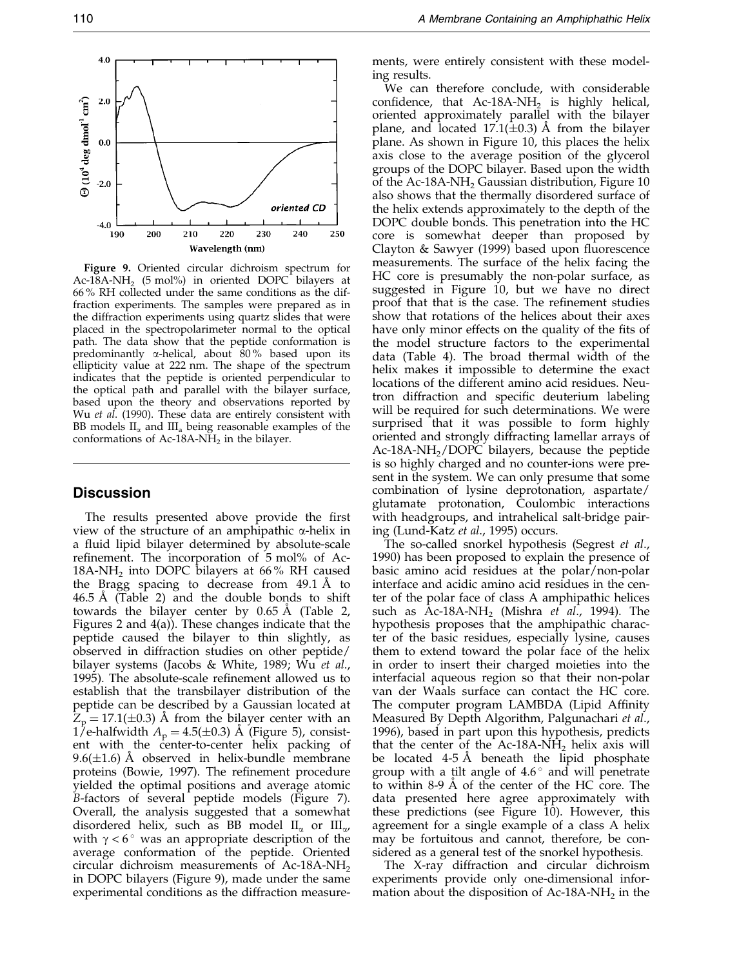

Figure 9. Oriented circular dichroism spectrum for Ac-18A-NH<sub>2</sub> (5 mol%) in oriented DOPC bilayers at 66 % RH collected under the same conditions as the diffraction experiments. The samples were prepared as in the diffraction experiments using quartz slides that were placed in the spectropolarimeter normal to the optical path. The data show that the peptide conformation is predominantly  $\alpha$ -helical, about 80% based upon its ellipticity value at 222 nm. The shape of the spectrum indicates that the peptide is oriented perpendicular to the optical path and parallel with the bilayer surface, based upon the theory and observations reported by Wu [et al](#page-18-0). (1990). These data are entirely consistent with BB models  $II_{\alpha}$  and  $III_{\alpha}$  being reasonable examples of the conformations of Ac-18A-N $\tilde{H}_2$  in the bilayer.

## **Discussion**

The results presented above provide the first view of the structure of an amphipathic  $\alpha$ -helix in a fluid lipid bilayer determined by absolute-scale refinement. The incorporation of 5 mol% of Ac-18A-NH<sub>2</sub> into DOPC bilayers at 66% RH caused the Bragg spacing to decrease from  $49.1 \text{ Å}$  to  $46.5$  Å [\(Table 2\)](#page-6-0) and the double bonds to shift towards the bilayer center by  $0.65 \text{ Å}$  [\(Table 2,](#page-6-0) Figures 2 and 4(a)). These changes indicate that the peptide caused the bilayer to thin slightly, as observed in diffraction studies on other peptide/ bilayer systems [\(Jacobs &](#page-17-0) White, 1989; [Wu](#page-18-0) et al., 1995). The absolute-scale refinement allowed us to establish that the transbilayer distribution of the peptide can be described by a Gaussian located at  $Z_p = 17.1(\pm 0.3)$  Å from the bilayer center with an 1/e-halfwidth  $A_p = 4.5(\pm 0.3)$  Å (Figure 5), consistent with the center-to-center helix packing of 9.6( $\pm$ 1.6) Å observed in helix-bundle membrane proteins [\(Bowie, 1](#page-17-0)997). The refinement procedure yielded the optimal positions and average atomic B-factors of several peptide models (Figure 7). Overall, the analysis suggested that a somewhat disordered helix, such as BB model  $II_{\alpha}$  or  $III_{\alpha}$ , with  $\gamma < 6^\circ$  was an appropriate description of the average conformation of the peptide. Oriented circular dichroism measurements of Ac-18A-NH<sub>2</sub> in DOPC bilayers (Figure 9), made under the same experimental conditions as the diffraction measurements, were entirely consistent with these modeling results.

We can therefore conclude, with considerable confidence, that Ac-18A-NH<sub>2</sub> is highly helical, oriented approximately parallel with the bilayer plane, and located 17.1( $\pm$ 0.3) Å from the bilayer plane. As shown in [Figure 10](#page-12-0), this places the helix axis close to the average position of the glycerol groups of the DOPC bilayer. Based upon the width of the Ac-18A-NH<sub>2</sub> Gaussian distribution, Figure  $10$ also shows that the thermally disordered surface of the helix extends approximately to the depth of the DOPC double bonds. This penetration into the HC core is somewhat deeper than proposed by [Clayton](#page-17-0) & Sawyer (1999) based upon fluorescence measurements. The surface of the helix facing the HC core is presumably the non-polar surface, as suggested in [Figure 1](#page-12-0)0, but we have no direct proof that that is the case. The refinement studies show that rotations of the helices about their axes have only minor effects on the quality of the fits of the model structure factors to the experimental data [\(Table 4\)](#page-8-0). The broad thermal width of the helix makes it impossible to determine the exact locations of the different amino acid residues. Neutron diffraction and specific deuterium labeling will be required for such determinations. We were surprised that it was possible to form highly oriented and strongly diffracting lamellar arrays of  $Ac-18A-NH<sub>2</sub>/DOPC$  bilayers, because the peptide is so highly charged and no counter-ions were present in the system. We can only presume that some combination of lysine deprotonation, aspartate/ glutamate protonation, Coulombic interactions with headgroups, and intrahelical salt-bridge pairing [\(Lund-Ka](#page-17-0)tz et al., 1995) occurs.

The so-called snorkel hypothesis [\(Segrest](#page-17-0) et al., 1990) has been proposed to explain the presence of basic amino acid residues at the polar/non-polar interface and acidic amino acid residues in the center of the polar face of class A amphipathic helices such as  $Ac-18A-NH_2$  [\(Mishra](#page-17-0) *et al.*, 1994). The hypothesis proposes that the amphipathic character of the basic residues, especially lysine, causes them to extend toward the polar face of the helix in order to insert their charged moieties into the interfacial aqueous region so that their non-polar van der Waals surface can contact the HC core. The computer program LAMBDA (Lipid Affinity Measured By Depth Algorithm, [Palgunac](#page-17-0)hari et al., 1996), based in part upon this hypothesis, predicts that the center of the Ac-18A-NH<sub>2</sub> helix axis will be located  $4-5$  Å beneath the lipid phosphate group with a tilt angle of  $4.6^\circ$  and will penetrate to within 8-9  $\AA$  of the center of the HC core. The data presented here agree approximately with these predictions (see Figure  $10$ ). However, this agreement for a single example of a class A helix may be fortuitous and cannot, therefore, be considered as a general test of the snorkel hypothesis.

The X-ray diffraction and circular dichroism experiments provide only one-dimensional information about the disposition of Ac-18A-NH<sub>2</sub> in the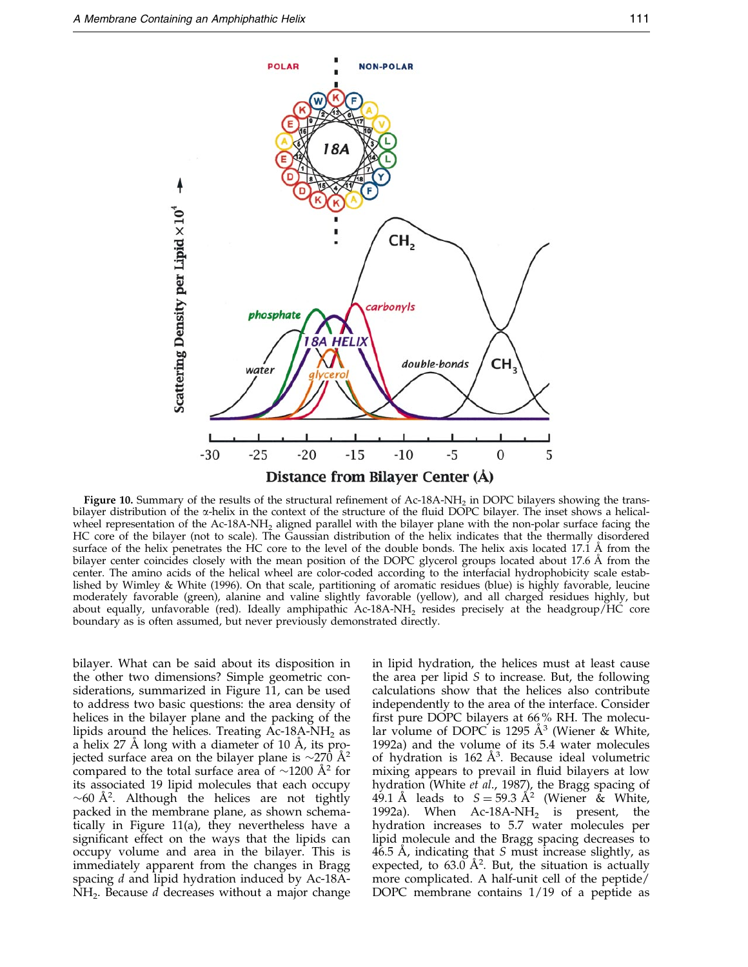<span id="page-12-0"></span>

Figure 10. Summary of the results of the structural refinement of Ac-18A-NH<sub>2</sub> in DOPC bilayers showing the transbilayer distribution of the  $\alpha$ -helix in the context of the structure of the fluid DOPC bilayer. The inset shows a helicalwheel representation of the Ac-18A-NH<sub>2</sub> aligned parallel with the bilayer plane with the non-polar surface facing the HC core of the bilayer (not to scale). The Gaussian distribution of the helix indicates that the thermally disordered surface of the helix penetrates the HC core to the level of the double bonds. The helix axis located 17.1  $\AA$  from the bilayer center coincides closely with the mean position of the DOPC glycerol groups located about 17.6 Å from the center. The amino acids of the helical wheel are color-coded according to the interfacial hydrophobicity scale established by [Wimley &](#page-18-0) White (1996). On that scale, partitioning of aromatic residues (blue) is highly favorable, leucine moderately favorable (green), alanine and valine slightly favorable (yellow), and all charged residues highly, but about equally, unfavorable (red). Ideally amphipathic Ac-18A-NH<sub>2</sub> resides precisely at the headgroup/HC core boundary as is often assumed, but never previously demonstrated directly.

bilayer. What can be said about its disposition in the other two dimensions? Simple geometric considerations, summarized in [Figure 1](#page-13-0)1, can be used to address two basic questions: the area density of helices in the bilayer plane and the packing of the lipids around the helices. Treating  $Ac-18A-NH<sub>2</sub>$  as a helix 27 Å long with a diameter of 10 Å, its projected surface area on the bilayer plane is  $\sim$ 270 Å<sup>2</sup> compared to the total surface area of  $\sim$ 1200 Å<sup>2</sup> for its associated 19 lipid molecules that each occupy  $\sim$  60 Å<sup>2</sup>. Although the helices are not tightly packed in the membrane plane, as shown schematically in [Figure 1](#page-13-0)1(a), they nevertheless have a significant effect on the ways that the lipids can occupy volume and area in the bilayer. This is immediately apparent from the changes in Bragg spacing d and lipid hydration induced by Ac-18A- $NH<sub>2</sub>$ . Because d decreases without a major change in lipid hydration, the helices must at least cause the area per lipid  $S$  to increase. But, the following calculations show that the helices also contribute independently to the area of the interface. Consider first pure DOPC bilayers at  $66\%$  RH. The molecular volume of DOPC is 1295  $A^3$  [\(Wiener &](#page-18-0) White, 1992a) and the volume of its 5.4 water molecules of hydration is  $162 \text{ Å}^3$ . Because ideal volumetric mixing appears to prevail in fluid bilayers at low hydration [\(White](#page-18-0) et al., 1987), the Bragg spacing of 49.1 Å leads to  $S = 59.3 \text{ Å}^2$  [\(Wiener](#page-18-0) & White, 1992a). When  $Ac-18A-NH_2$  is present, the hydration increases to 5.7 water molecules per lipid molecule and the Bragg spacing decreases to 46.5 Å, indicating that  $S$  must increase slightly, as expected, to  $63.0 \text{ Å}^2$ . But, the situation is actually more complicated. A half-unit cell of the peptide/ DOPC membrane contains 1/19 of a peptide as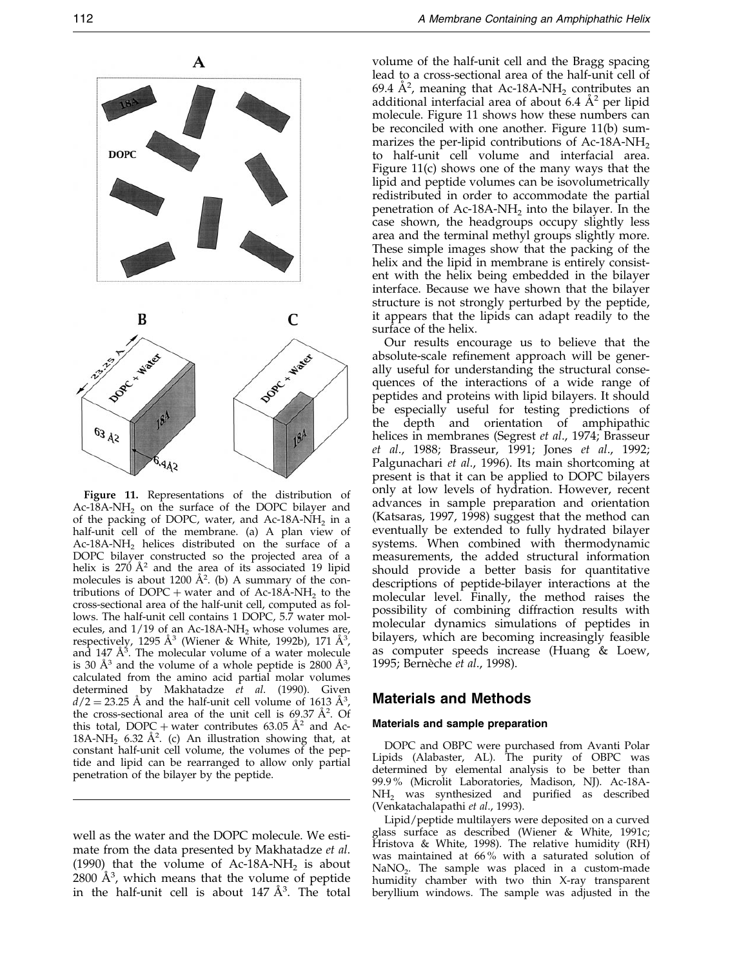<span id="page-13-0"></span>

Figure 11. Representations of the distribution of Ac-18A-NH<sub>2</sub> on the surface of the DOPC bilayer and of the packing of DOPC, water, and Ac-18A-NH<sub>2</sub> in a half-unit cell of the membrane. (a) A plan view of Ac-18A-NH<sub>2</sub> helices distributed on the surface of a DOPC bilayer constructed so the projected area of a helix is  $270 \text{ Å}^2$  and the area of its associated 19 lipid molecules is about 1200  $\AA^2$ . (b) A summary of the contributions of DOPC + water and of Ac-18A-NH<sub>2</sub> to the cross-sectional area of the half-unit cell, computed as follows. The half-unit cell contains 1 DOPC, 5.7 water molecules, and  $1/19$  of an Ac-18A-NH<sub>2</sub> whose volumes are, respectively, 1295 Å<sup>3</sup> [\(Wiener &](#page-18-0) White, 1992b), 171 Å<sup>3</sup>, and  $147 \text{ Å}^3$ . The molecular volume of a water molecule is 30  $\AA$ <sup>3</sup> and the volume of a whole peptide is 2800  $\AA$ <sup>3</sup>, calculated from the amino acid partial molar volumes determined by [Makhatad](#page-17-0)ze et al. (1990). Given  $d/2 = 23.25$  Å and the half-unit cell volume of 1613  $\AA^3$ , the cross-sectional area of the unit cell is  $69.37 \text{ Å}^2$ . Of this total, DOPC + water contributes 63.05  $\AA^2$  and Ac-18A-NH<sub>2</sub> 6.32 Å<sup>2</sup>. (c) An illustration showing that, at constant half-unit cell volume, the volumes of the peptide and lipid can be rearranged to allow only partial penetration of the bilayer by the peptide.

well as the water and the DOPC molecule. We esti-mate from the data presented by [Makhata](#page-17-0)dze et al. (1990) that the volume of Ac-18A-NH<sub>2</sub> is about  $2800 \text{ Å}^3$ , which means that the volume of peptide in the half-unit cell is about  $147 \text{ Å}^3$ . The total

volume of the half-unit cell and the Bragg spacing lead to a cross-sectional area of the half-unit cell of 69.4 Å<sup>2</sup>, meaning that Ac-18A-NH<sub>2</sub> contributes an additional interfacial area of about 6.4  $A^2$  per lipid molecule. Figure 11 shows how these numbers can be reconciled with one another. Figure 11(b) summarizes the per-lipid contributions of  $Ac-18A-NH<sub>2</sub>$ to half-unit cell volume and interfacial area. Figure 11(c) shows one of the many ways that the lipid and peptide volumes can be isovolumetrically redistributed in order to accommodate the partial penetration of  $Ac-18A-NH<sub>2</sub>$  into the bilayer. In the case shown, the headgroups occupy slightly less area and the terminal methyl groups slightly more. These simple images show that the packing of the helix and the lipid in membrane is entirely consistent with the helix being embedded in the bilayer interface. Because we have shown that the bilayer structure is not strongly perturbed by the peptide, it appears that the lipids can adapt readily to the surface of the helix.

Our results encourage us to believe that the absolute-scale refinement approach will be generally useful for understanding the structural consequences of the interactions of a wide range of peptides and proteins with lipid bilayers. It should be especially useful for testing predictions of the depth and orientation of amphipathic helices in membranes [\(Segrest](#page-17-0) et al., 1974; [Brasseur](#page-17-0) et al., 1988; [Brasseur](#page-17-0), 1991; [Jones](#page-17-0) et al., 1992; [Palgunac](#page-17-0)hari et al., 1996). Its main shortcoming at present is that it can be applied to DOPC bilayers only at low levels of hydration. However, recent advances in sample preparation and orientation [\(Katsaras](#page-17-0), 199[7, 1998\) su](#page-17-0)ggest that the method can eventually be extended to fully hydrated bilayer systems. When combined with thermodynamic measurements, the added structural information should provide a better basis for quantitative descriptions of peptide-bilayer interactions at the molecular level. Finally, the method raises the possibility of combining diffraction results with molecular dynamics simulations of peptides in bilayers, which are becoming increasingly feasible as computer speeds increase [\(Huang](#page-17-0) & Loew, 1995; Bernèche et al., 1998).

## Materials and Methods

## Materials and sample preparation

DOPC and OBPC were purchased from Avanti Polar Lipids (Alabaster, AL). The purity of OBPC was determined by elemental analysis to be better than 99.9 % (Microlit Laboratories, Madison, NJ). Ac-18A- $NH<sub>2</sub>$  was synthesized and purified as described [\(Venkatach](#page-18-0)alapathi et al., 1993).

Lipid/peptide multilayers were deposited on a curved glass surface as described [\(Wiener &](#page-18-0) White, 1991c; [Hristova](#page-17-0) & White, 1998). The relative humidity (RH) was maintained at 66 % with a saturated solution of  $NaNO<sub>2</sub>$ . The sample was placed in a custom-made humidity chamber with two thin X-ray transparent beryllium windows. The sample was adjusted in the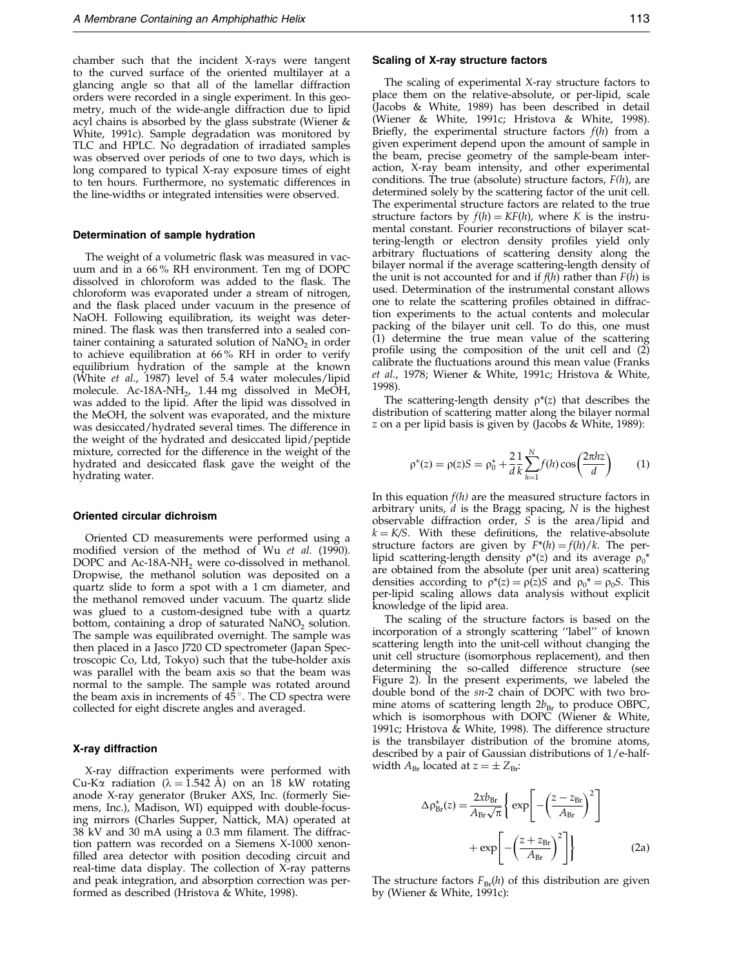<span id="page-14-0"></span>chamber such that the incident X-rays were tangent to the curved surface of the oriented multilayer at a glancing angle so that all of the lamellar diffraction orders were recorded in a single experiment. In this geometry, much of the wide-angle diffraction due to lipid acyl chains is absorbed by the glass substrate [\(Wiener &](#page-18-0) White, 1991c). Sample degradation was monitored by TLC and HPLC. No degradation of irradiated samples was observed over periods of one to two days, which is long compared to typical X-ray exposure times of eight to ten hours. Furthermore, no systematic differences in the line-widths or integrated intensities were observed.

#### Determination of sample hydration

The weight of a volumetric flask was measured in vacuum and in a 66 % RH environment. Ten mg of DOPC dissolved in chloroform was added to the flask. The chloroform was evaporated under a stream of nitrogen, and the flask placed under vacuum in the presence of NaOH. Following equilibration, its weight was determined. The flask was then transferred into a sealed container containing a saturated solution of  $\text{NaNO}_2$  in order to achieve equilibration at 66 % RH in order to verify equilibrium hydration of the sample at the known [\(White](#page-18-0) et al., 1987) level of 5.4 water molecules/lipid molecule. Ac-18A-NH<sub>2</sub>, 1.44 mg dissolved in MeOH, was added to the lipid. After the lipid was dissolved in the MeOH, the solvent was evaporated, and the mixture was desiccated/hydrated several times. The difference in the weight of the hydrated and desiccated lipid/peptide mixture, corrected for the difference in the weight of the hydrated and desiccated flask gave the weight of the hydrating water.

#### Oriented circular dichroism

Oriented CD measurements were performed using a modified version of the method of [Wu](#page-18-0) et al. (1990). DOPC and  $Ac-18A-NH_2$  were co-dissolved in methanol. Dropwise, the methanol solution was deposited on a quartz slide to form a spot with a 1 cm diameter, and the methanol removed under vacuum. The quartz slide was glued to a custom-designed tube with a quartz bottom, containing a drop of saturated  $NaNO<sub>2</sub>$  solution. The sample was equilibrated overnight. The sample was then placed in a Jasco J720 CD spectrometer (Japan Spectroscopic Co, Ltd, Tokyo) such that the tube-holder axis was parallel with the beam axis so that the beam was normal to the sample. The sample was rotated around the beam axis in increments of  $45^{\circ}$ . The CD spectra were collected for eight discrete angles and averaged.

#### X-ray diffraction

X-ray diffraction experiments were performed with Cu-K $\alpha$  radiation ( $\lambda = 1.542$  Å) on an 18 kW rotating anode X-ray generator (Bruker AXS, Inc. (formerly Siemens, Inc.), Madison, WI) equipped with double-focusing mirrors (Charles Supper, Nattick, MA) operated at  $38$  kV and  $30$  mA using a  $0.3$  mm filament. The diffraction pattern was recorded on a Siemens X-1000 xenon filled area detector with position decoding circuit and real-time data display. The collection of X-ray patterns and peak integration, and absorption correction was performed as described [\(Hristova](#page-17-0) & White, 1998).

#### Scaling of X-ray structure factors

The scaling of experimental X-ray structure factors to place them on the relative-absolute, or per-lipid, scale [\(Jacobs &](#page-17-0) White, 1989) has been described in detail [\(Wiener &](#page-18-0) White, 1991c; [Hristova](#page-17-0) & White, 1998). Briefly, the experimental structure factors  $f(h)$  from a given experiment depend upon the amount of sample in the beam, precise geometry of the sample-beam interaction, X-ray beam intensity, and other experimental conditions. The true (absolute) structure factors,  $F(h)$ , are determined solely by the scattering factor of the unit cell. The experimental structure factors are related to the true structure factors by  $f(h) = KF(h)$ , where K is the instrumental constant. Fourier reconstructions of bilayer scattering-length or electron density profiles yield only arbitrary fluctuations of scattering density along the bilayer normal if the average scattering-length density of the unit is not accounted for and if  $f(h)$  rather than  $F(h)$  is used. Determination of the instrumental constant allows one to relate the scattering profiles obtained in diffraction experiments to the actual contents and molecular packing of the bilayer unit cell. To do this, one must (1) determine the true mean value of the scattering profile using the composition of the unit cell and (2) calibrate the fluctuations around this mean value [\(Franks](#page-17-0) et al., 1978; [Wiener &](#page-18-0) White, 1991c; [Hristova](#page-17-0) & White, 1998).

The scattering-length density  $\rho^*(z)$  that describes the distribution of scattering matter along the bilayer normal z on a per lipid basis is given by [\(Jacobs &](#page-17-0) White, 1989):

$$
\rho^*(z) = \rho(z)S = \rho_0^* + \frac{2}{d} \frac{1}{k} \sum_{h=1}^N f(h) \cos\left(\frac{2\pi h z}{d}\right) \tag{1}
$$

In this equation  $f(h)$  are the measured structure factors in arbitrary units,  $d$  is the Bragg spacing,  $N$  is the highest observable diffraction order, S is the area/lipid and  $k = K/S$ . With these definitions, the relative-absolute structure factors are given by  $F^*(h) = f(h)/k$ . The perlipid scattering-length density  $\rho^*(z)$  and its average  $\rho_0^*$ are obtained from the absolute (per unit area) scattering densities according to  $\rho^*(z) = \rho(z)S$  and  $\rho_0^* = \rho_0S$ . This per-lipid scaling allows data analysis without explicit knowledge of the lipid area.

The scaling of the structure factors is based on the incorporation of a strongly scattering "label" of known scattering length into the unit-cell without changing the unit cell structure (isomorphous replacement), and then determining the so-called difference structure (see Figure 2). In the present experiments, we labeled the double bond of the sn-2 chain of DOPC with two bromine atoms of scattering length  $2b_{\text{Br}}$  to produce OBPC, which is isomorphous with DOPC [\(Wiener &](#page-18-0) White, 1991c; [Hristova](#page-17-0) & White, 1998). The difference structure is the transbilayer distribution of the bromine atoms, described by a pair of Gaussian distributions of 1/e-halfwidth  $A_{\text{Br}}$  located at  $z = \pm Z_{\text{Br}}$ :

$$
\Delta \rho_{\text{Br}}^{*}(z) = \frac{2xb_{\text{Br}}}{A_{\text{Br}}\sqrt{\pi}} \left\{ \exp\left[ -\left(\frac{z - z_{\text{Br}}}{A_{\text{Br}}}\right)^{2} \right] + \exp\left[ -\left(\frac{z + z_{\text{Br}}}{A_{\text{Br}}}\right)^{2} \right] \right\}
$$
(2a)

The structure factors  $F_{\text{Br}}(h)$  of this distribution are given by [\(Wiener &](#page-18-0) White, 1991c):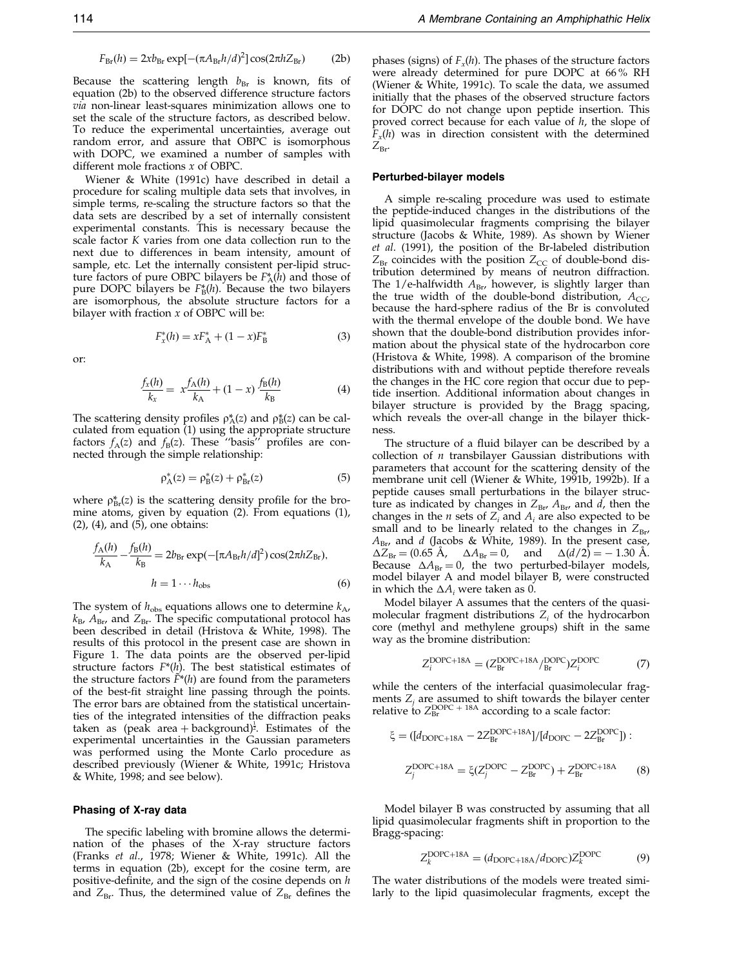$$
F_{\rm Br}(h) = 2xb_{\rm Br} \exp[-(\pi A_{\rm Br} h/d)^2] \cos(2\pi h Z_{\rm Br})
$$
 (2b)

<span id="page-15-0"></span>Because the scattering length  $b_{\text{Br}}$  is known, fits of [equation](#page-14-0) (2b) to the observed difference structure factors via non-linear least-squares minimization allows one to set the scale of the structure factors, as described below. To reduce the experimental uncertainties, average out random error, and assure that OBPC is isomorphous with DOPC, we examined a number of samples with different mole fractions x of OBPC.

[Wiener &](#page-18-0) White (1991c) have described in detail a procedure for scaling multiple data sets that involves, in simple terms, re-scaling the structure factors so that the data sets are described by a set of internally consistent experimental constants. This is necessary because the scale factor K varies from one data collection run to the next due to differences in beam intensity, amount of sample, etc. Let the internally consistent per-lipid structure factors of pure OBPC bilayers be  $F_{\rm A}^*(h)$  and those of pure DOPC bilayers be  $F_{\text{B}}^{*}(h)$ . Because the two bilayers are isomorphous, the absolute structure factors for a bilayer with fraction  $x$  of OBPC will be:

$$
F_x^*(h) = xF_A^* + (1 - x)F_B^*
$$
 (3)

or:

$$
\frac{f_x(h)}{k_x} = x \frac{f_A(h)}{k_A} + (1 - x) \frac{f_B(h)}{k_B}
$$
(4)

The scattering density profiles  $\rho^*_{A}(z)$  and  $\rho^*_{B}(z)$  can be calculated fro[m equation](#page-14-0) (1) using the appropriate structure factors  $f_A(z)$  and  $f_B(z)$ . These "basis" profiles are connected through the simple relationship:

$$
\rho_A^*(z) = \rho_B^*(z) + \rho_{Br}^*(z) \tag{5}
$$

where  $\rho_{\text{Br}}^{*}(z)$  is the scattering density profile for the bromine atoms, given by [equation](#page-14-0) (2). From [equations](#page-14-0) (1),  $(2)$ ,  $(4)$ , and  $(5)$ , one obtains:

$$
\frac{f_{\rm A}(h)}{k_{\rm A}} - \frac{f_{\rm B}(h)}{k_{\rm B}} = 2b_{\rm Br} \exp(-[\pi A_{\rm Br} h/d]^2) \cos(2\pi h Z_{\rm Br}),
$$
  

$$
h = 1 \cdots h_{\rm obs}
$$
 (6)

The system of  $h_{obs}$  equations allows one to determine  $k_A$ ,  $k_{\rm B}$ ,  $A_{\rm Br}$ , and  $Z_{\rm Br}$ . The specific computational protocol has been described in detail [\(Hristova](#page-17-0) & White, 1998). The results of this protocol in the present case are shown in Figure 1. The data points are the observed per-lipid structure factors  $F^*(h)$ . The best statistical estimates of the structure factors  $\tilde{F}^*(h)$  are found from the parameters of the best-fit straight line passing through the points. The error bars are obtained from the statistical uncertainties of the integrated intensities of the diffraction peaks taken as (peak area + background)<sup> $\frac{1}{2}$ </sup>. Estimates of the experimental uncertainties in the Gaussian parameters was performed using the Monte Carlo procedure as described previously [\(Wiener &](#page-18-0) White, 1991c; [Hristova](#page-17-0) & White, 1998; and see below).

#### Phasing of X-ray data

The specific labeling with bromine allows the determination of the phases of the X-ray structure factors [\(Franks](#page-17-0) et al., 1978; [Wiener &](#page-18-0) White, 1991c). All the terms in [equation](#page-14-0) (2b), except for the cosine term, are positive-definite, and the sign of the cosine depends on  $h$ and  $Z_{\text{Br}}$ . Thus, the determined value of  $Z_{\text{Br}}$  defines the

phases (signs) of  $F_r(h)$ . The phases of the structure factors were already determined for pure DOPC at 66 % RH [\(Wiener &](#page-18-0) White, 1991c). To scale the data, we assumed initially that the phases of the observed structure factors for DOPC do not change upon peptide insertion. This proved correct because for each value of h, the slope of  $F_x(h)$  was in direction consistent with the determined  $Z_{\rm Br}$ 

#### Perturbed-bilayer models

A simple re-scaling procedure was used to estimate the peptide-induced changes in the distributions of the lipid quasimolecular fragments comprising the bilayer structure [\(Jacobs &](#page-17-0) White, 1989). As shown by [Wiener](#page-18-0) et al. (1991), the position of the Br-labeled distribution  $Z_{\text{Br}}$  coincides with the position  $Z_{\text{CC}}$  of double-bond distribution determined by means of neutron diffraction. The 1/e-halfwidth  $A_{\text{Br}}$ , however, is slightly larger than the true width of the double-bond distribution,  $A_{CC}$ , because the hard-sphere radius of the Br is convoluted with the thermal envelope of the double bond. We have shown that the double-bond distribution provides information about the physical state of the hydrocarbon core [\(Hristova](#page-17-0) & White, 1998). A comparison of the bromine distributions with and without peptide therefore reveals the changes in the HC core region that occur due to peptide insertion. Additional information about changes in bilayer structure is provided by the Bragg spacing, which reveals the over-all change in the bilayer thickness.

The structure of a fluid bilayer can be described by a collection of  $n$  transbilayer Gaussian distributions with parameters that account for the scattering density of the membrane unit cell [\(Wiener &](#page-18-0) White, 1991[b, 1992b\). I](#page-18-0)f a peptide causes small perturbations in the bilayer structure as indicated by changes in  $Z_{\text{Br}}$ ,  $A_{\text{Br}}$ , and d, then the changes in the *n* sets of  $Z_i$  and  $A_i$  are also expected to be small and to be linearly related to the changes in  $Z_{\text{Br}}$ ,  $A_{\text{Br}}$  and *d* [\(Jacobs &](#page-17-0) White, 1989). In the present case,<br>  $\Delta Z_{\text{Br}} = (0.65 \text{ Å}, \Delta A_{\text{Br}} = 0, \text{ and } \Delta(d/2) = -1.30 \text{ Å}.$ Because  $\Delta A_{\text{Br}} = 0$ , the two perturbed-bilayer models, model bilayer A and model bilayer B, were constructed in which the  $\Delta A_i$  were taken as 0.

Model bilayer A assumes that the centers of the quasimolecular fragment distributions  $Z_i$  of the hydrocarbon core (methyl and methylene groups) shift in the same way as the bromine distribution:

$$
Z_i^{\text{DOPC}+18\text{A}} = (Z_{\text{Br}}^{\text{DOPC}+18\text{A}} / \_{\text{Br}}^{\text{DOPC}}) Z_i^{\text{DOPC}} \tag{7}
$$

while the centers of the interfacial quasimolecular fragments  $Z_i$  are assumed to shift towards the bilayer center relative to  $Z_{\text{Br}}^{\text{DOPC}}$  + 18A according to a scale factor:

$$
\xi = ([d_{\text{DOPC}+18A} - 2Z_{\text{Br}}^{\text{DOPC}+18A}]/[d_{\text{DOPC}} - 2Z_{\text{Br}}^{\text{DOPC}}]) :
$$
  

$$
Z_{j}^{\text{DOPC}+18A} = \xi (Z_{j}^{\text{DOPC}} - Z_{\text{Br}}^{\text{DOPC}}) + Z_{\text{Br}}^{\text{DOPC}+18A}
$$
(8)

Model bilayer B was constructed by assuming that all lipid quasimolecular fragments shift in proportion to the Bragg-spacing:

$$
Z_k^{\text{DOPC}+18\text{A}} = (d_{\text{DOPC}+18\text{A}}/d_{\text{DOPC}})Z_k^{\text{DOPC}} \tag{9}
$$

The water distributions of the models were treated similarly to the lipid quasimolecular fragments, except the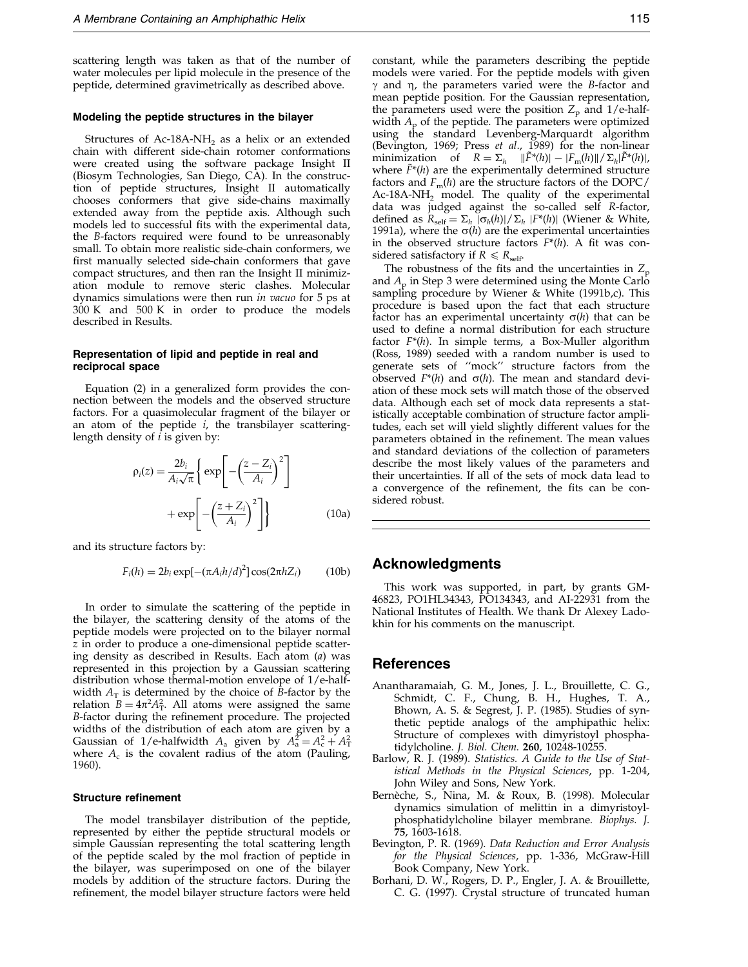<span id="page-16-0"></span>scattering length was taken as that of the number of water molecules per lipid molecule in the presence of the peptide, determined gravimetrically as described above.

#### Modeling the peptide structures in the bilayer

Structures of Ac-18A-NH<sub>2</sub> as a helix or an extended chain with different side-chain rotomer conformations were created using the software package Insight II (Biosym Technologies, San Diego, CA). In the construction of peptide structures, Insight II automatically chooses conformers that give side-chains maximally extended away from the peptide axis. Although such models led to successful fits with the experimental data, the B-factors required were found to be unreasonably small. To obtain more realistic side-chain conformers, we first manually selected side-chain conformers that gave compact structures, and then ran the Insight II minimization module to remove steric clashes. Molecular dynamics simulations were then run in vacuo for 5 ps at  $300$  K and  $500$  K in order to produce the models described in Results.

#### Representation of lipid and peptide in real and reciprocal space

[Equation](#page-14-0) (2) in a generalized form provides the connection between the models and the observed structure factors. For a quasimolecular fragment of the bilayer or an atom of the peptide  $i$ , the transbilayer scatteringlength density of  $i$  is given by:

$$
\rho_i(z) = \frac{2b_i}{A_i \sqrt{\pi}} \left\{ \exp\left[ -\left(\frac{z - Z_i}{A_i}\right)^2 \right] + \exp\left[ -\left(\frac{z + Z_i}{A_i}\right)^2 \right] \right\}
$$
\n(10a)

and its structure factors by:

$$
F_i(h) = 2b_i \exp[-(\pi A_i h/d)^2] \cos(2\pi h Z_i)
$$
 (10b)

In order to simulate the scattering of the peptide in the bilayer, the scattering density of the atoms of the peptide models were projected on to the bilayer normal z in order to produce a one-dimensional peptide scattering density as described in Results. Each atom (a) was represented in this projection by a Gaussian scattering distribution whose thermal-motion envelope of 1/e-halfwidth  $A_T$  is determined by the choice of B-factor by the relation  $B = 4\pi^2 A_T^2$ . All atoms were assigned the same B-factor during the refinement procedure. The projected widths of the distribution of each atom are given by a Gaussian of 1/e-halfwidth  $A_a$  given by  $A_a^2 = A_c^2 + A_T^2$ where  $A_c$  is the covalent radius of the atom [\(Pauling,](#page-17-0) 1960).

#### Structure refinement

The model transbilayer distribution of the peptide, represented by either the peptide structural models or simple Gaussian representing the total scattering length of the peptide scaled by the mol fraction of peptide in the bilayer, was superimposed on one of the bilayer models by addition of the structure factors. During the refinement, the model bilayer structure factors were held

constant, while the parameters describing the peptide models were varied. For the peptide models with given  $\gamma$  and  $\eta$ , the parameters varied were the B-factor and mean peptide position. For the Gaussian representation, the parameters used were the position  $Z_p$  and 1/e-halfwidth  $A_p$  of the peptide. The parameters were optimized using the standard Levenberg-Marquardt algorithm (Bevington, 1969; [Press](#page-17-0) et al., 1989) for the non-linear minimization of  $R = \Sigma_h \|\tilde{F}^*(h)\| - |F_m(h)\| / \Sigma_h |\tilde{F}^*(h)|$ , where  $\tilde{F}^*(h)$  are the experimentally determined structure factors and  $F_m(h)$  are the structure factors of the DOPC/ Ac-18A-NH<sub>2</sub> model. The quality of the experimental data was judged against the so-called self R-factor, defined as  $R_{\text{self}} = \sum_h |\sigma_h(h)| / \sum_h |F^*(h)|$  [\(Wiener &](#page-18-0) White, 1991a), where the  $\sigma(h)$  are the experimental uncertainties in the observed structure factors  $F^*(h)$ . A fit was considered satisfactory if  $R \le R_{\text{self}}$ .

The robustness of the fits and the uncertainties in  $Z_p$ and  $A<sub>p</sub>$  in Step 3 were determined using the Monte Carlo sampling procedure by [Wiener &](#page-18-0) White (1991[b,c\). This](#page-18-0) procedure is based upon the fact that each structure factor has an experimental uncertainty  $\sigma(h)$  that can be used to define a normal distribution for each structure factor  $F^*(h)$ . In simple terms, a Box-Muller algorithm [\(Ross, 198](#page-17-0)9) seeded with a random number is used to generate sets of "mock" structure factors from the observed  $F^*(h)$  and  $\sigma(h)$ . The mean and standard deviation of these mock sets will match those of the observed data. Although each set of mock data represents a statistically acceptable combination of structure factor amplitudes, each set will yield slightly different values for the parameters obtained in the refinement. The mean values and standard deviations of the collection of parameters describe the most likely values of the parameters and their uncertainties. If all of the sets of mock data lead to a convergence of the refinement, the fits can be considered robust.

## Acknowledgments

This work was supported, in part, by grants GM-46823, PO1HL34343, PO134343, and AI-22931 from the National Institutes of Health. We thank Dr Alexey Ladokhin for his comments on the manuscript.

## References

- Anantharamaiah, G. M., Jones, J. L., Brouillette, C. G., Schmidt, C. F., Chung, B. H., Hughes, T. A., Bhown, A. S. & Segrest, J. P. (1985). Studies of synthetic peptide analogs of the amphipathic helix: Structure of complexes with dimyristoyl phosphatidylcholine. J. Biol. Chem. 260, 10248-10255.
- Barlow, R. J. (1989). Statistics. A Guide to the Use of Statistical Methods in the Physical Sciences, pp. 1-204, John Wiley and Sons, New York.
- Bernèche, S., Nina, M. & Roux, B. (1998). Molecular dynamics simulation of melittin in a dimyristoylphosphatidylcholine bilayer membrane. Biophys. J. 75, 1603-1618.
- Bevington, P. R. (1969). Data Reduction and Error Analysis for the Physical Sciences, pp. 1-336, McGraw-Hill Book Company, New York.
- Borhani, D. W., Rogers, D. P., Engler, J. A. & Brouillette, C. G. (1997). Crystal structure of truncated human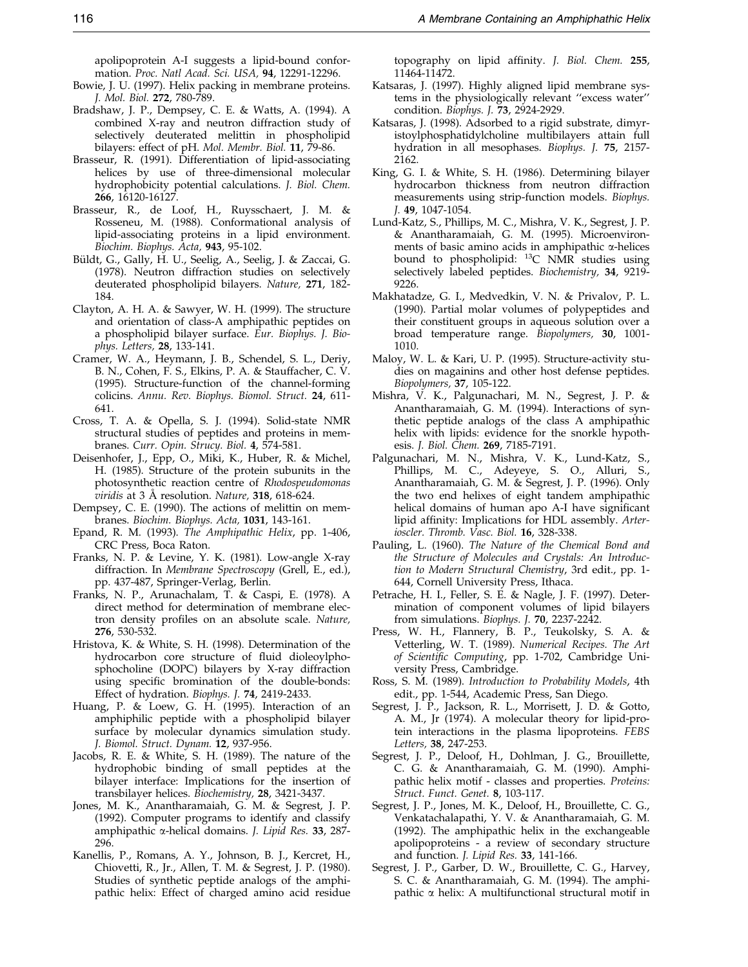apolipoprotein A-I suggests a lipid-bound conformation. Proc. Natl Acad. Sci. USA, 94, 12291-12296.

- <span id="page-17-0"></span>Bowie, J. U. (1997). Helix packing in membrane proteins. J. Mol. Biol. 272, 780-789.
- Bradshaw, J. P., Dempsey, C. E. & Watts, A. (1994). A combined X-ray and neutron diffraction study of selectively deuterated melittin in phospholipid bilayers: effect of pH. Mol. Membr. Biol. 11, 79-86.
- Brasseur, R. (1991). Differentiation of lipid-associating helices by use of three-dimensional molecular hydrophobicity potential calculations. J. Biol. Chem. 266, 16120-16127.
- Brasseur, R., de Loof, H., Ruysschaert, J. M. & Rosseneu, M. (1988). Conformational analysis of lipid-associating proteins in a lipid environment. Biochim. Biophys. Acta, 943, 95-102.
- Büldt, G., Gally, H. U., Seelig, A., Seelig, J. & Zaccai, G. (1978). Neutron diffraction studies on selectively deuterated phospholipid bilayers. Nature, 271, 182- 184.
- Clayton, A. H. A. & Sawyer, W. H. (1999). The structure and orientation of class-A amphipathic peptides on a phospholipid bilayer surface. Eur. Biophys. J. Biophys. Letters, 28, 133-141.
- Cramer, W. A., Heymann, J. B., Schendel, S. L., Deriy, B. N., Cohen, F. S., Elkins, P. A. & Stauffacher, C. V. (1995). Structure-function of the channel-forming colicins. Annu. Rev. Biophys. Biomol. Struct. 24, 611- 641.
- Cross, T. A. & Opella, S. J. (1994). Solid-state NMR structural studies of peptides and proteins in membranes. Curr. Opin. Strucy. Biol. 4, 574-581.
- Deisenhofer, J., Epp, O., Miki, K., Huber, R. & Michel, H. (1985). Structure of the protein subunits in the photosynthetic reaction centre of Rhodospeudomonas  $virdis$  at 3 Å resolution. Nature, 318, 618-624.
- Dempsey, C. E. (1990). The actions of melittin on membranes. Biochim. Biophys. Acta, 1031, 143-161.
- Epand, R. M. (1993). The Amphipathic Helix, pp. 1-406, CRC Press, Boca Raton.
- Franks, N. P. & Levine, Y. K. (1981). Low-angle X-ray diffraction. In Membrane Spectroscopy (Grell, E., ed.), pp. 437-487, Springer-Verlag, Berlin.
- Franks, N. P., Arunachalam, T. & Caspi, E. (1978). A direct method for determination of membrane electron density profiles on an absolute scale. Nature, 276, 530-532.
- Hristova, K. & White, S. H. (1998). Determination of the hydrocarbon core structure of fluid dioleoylphosphocholine (DOPC) bilayers by X-ray diffraction using specific bromination of the double-bonds: Effect of hydration. Biophys. J. 74, 2419-2433.
- Huang, P. & Loew, G. H. (1995). Interaction of an amphiphilic peptide with a phospholipid bilayer surface by molecular dynamics simulation study. J. Biomol. Struct. Dynam. 12, 937-956.
- Jacobs, R. E. & White, S. H. (1989). The nature of the hydrophobic binding of small peptides at the bilayer interface: Implications for the insertion of transbilayer helices. Biochemistry, 28, 3421-3437.
- Jones, M. K., Anantharamaiah, G. M. & Segrest, J. P. (1992). Computer programs to identify and classify amphipathic a-helical domains. J. Lipid Res. 33, 287- 296.
- Kanellis, P., Romans, A. Y., Johnson, B. J., Kercret, H., Chiovetti, R., Jr., Allen, T. M. & Segrest, J. P. (1980). Studies of synthetic peptide analogs of the amphipathic helix: Effect of charged amino acid residue

topography on lipid affinity. J. Biol. Chem. 255, 11464-11472.

- Katsaras, J. (1997). Highly aligned lipid membrane systems in the physiologically relevant "excess water" condition. Biophys. J. 73, 2924-2929.
- Katsaras, J. (1998). Adsorbed to a rigid substrate, dimyristoylphosphatidylcholine multibilayers attain full hydration in all mesophases. Biophys. J. 75, 2157- 2162.
- King, G. I. & White, S. H. (1986). Determining bilayer hydrocarbon thickness from neutron diffraction measurements using strip-function models. Biophys. J. 49, 1047-1054.
- Lund-Katz, S., Phillips, M. C., Mishra, V. K., Segrest, J. P. & Anantharamaiah, G. M. (1995). Microenvironments of basic amino acids in amphipathic  $\alpha$ -helices bound to phospholipid: <sup>13</sup>C NMR studies using selectively labeled peptides. Biochemistry, 34, 9219- 9226.
- Makhatadze, G. I., Medvedkin, V. N. & Privalov, P. L. (1990). Partial molar volumes of polypeptides and their constituent groups in aqueous solution over a broad temperature range. Biopolymers, 30, 1001- 1010.
- Maloy, W. L. & Kari, U. P. (1995). Structure-activity studies on magainins and other host defense peptides. Biopolymers, 37, 105-122.
- Mishra, V. K., Palgunachari, M. N., Segrest, J. P. & Anantharamaiah, G. M. (1994). Interactions of synthetic peptide analogs of the class A amphipathic helix with lipids: evidence for the snorkle hypothesis. J. Biol. Chem. 269, 7185-7191.
- Palgunachari, M. N., Mishra, V. K., Lund-Katz, S., Phillips, M. C., Adeyeye, S. O., Alluri, S., Anantharamaiah, G. M. & Segrest, J. P. (1996). Only the two end helixes of eight tandem amphipathic helical domains of human apo A-I have significant lipid affinity: Implications for HDL assembly. Arterioscler. Thromb. Vasc. Biol. 16, 328-338.
- Pauling, L. (1960). The Nature of the Chemical Bond and the Structure of Molecules and Crystals: An Introduction to Modern Structural Chemistry, 3rd edit., pp. 1- 644, Cornell University Press, Ithaca.
- Petrache, H. I., Feller, S. E. & Nagle, J. F. (1997). Determination of component volumes of lipid bilayers from simulations. Biophys. J. 70, 2237-2242.
- Press, W. H., Flannery, B. P., Teukolsky, S. A. & Vetterling, W. T. (1989). Numerical Recipes. The Art of Scientific Computing, pp. 1-702, Cambridge University Press, Cambridge.
- Ross, S. M. (1989). Introduction to Probability Models, 4th edit., pp. 1-544, Academic Press, San Diego.
- Segrest, J. P., Jackson, R. L., Morrisett, J. D. & Gotto, A. M., Jr (1974). A molecular theory for lipid-protein interactions in the plasma lipoproteins. FEBS Letters, 38, 247-253.
- Segrest, J. P., Deloof, H., Dohlman, J. G., Brouillette, C. G. & Anantharamaiah, G. M. (1990). Amphipathic helix motif - classes and properties. Proteins: Struct. Funct. Genet. 8, 103-117.
- Segrest, J. P., Jones, M. K., Deloof, H., Brouillette, C. G., Venkatachalapathi, Y. V. & Anantharamaiah, G. M. (1992). The amphipathic helix in the exchangeable apolipoproteins - a review of secondary structure and function. J. Lipid Res. 33, 141-166.
- Segrest, J. P., Garber, D. W., Brouillette, C. G., Harvey, S. C. & Anantharamaiah, G. M. (1994). The amphipathic  $\alpha$  helix: A multifunctional structural motif in